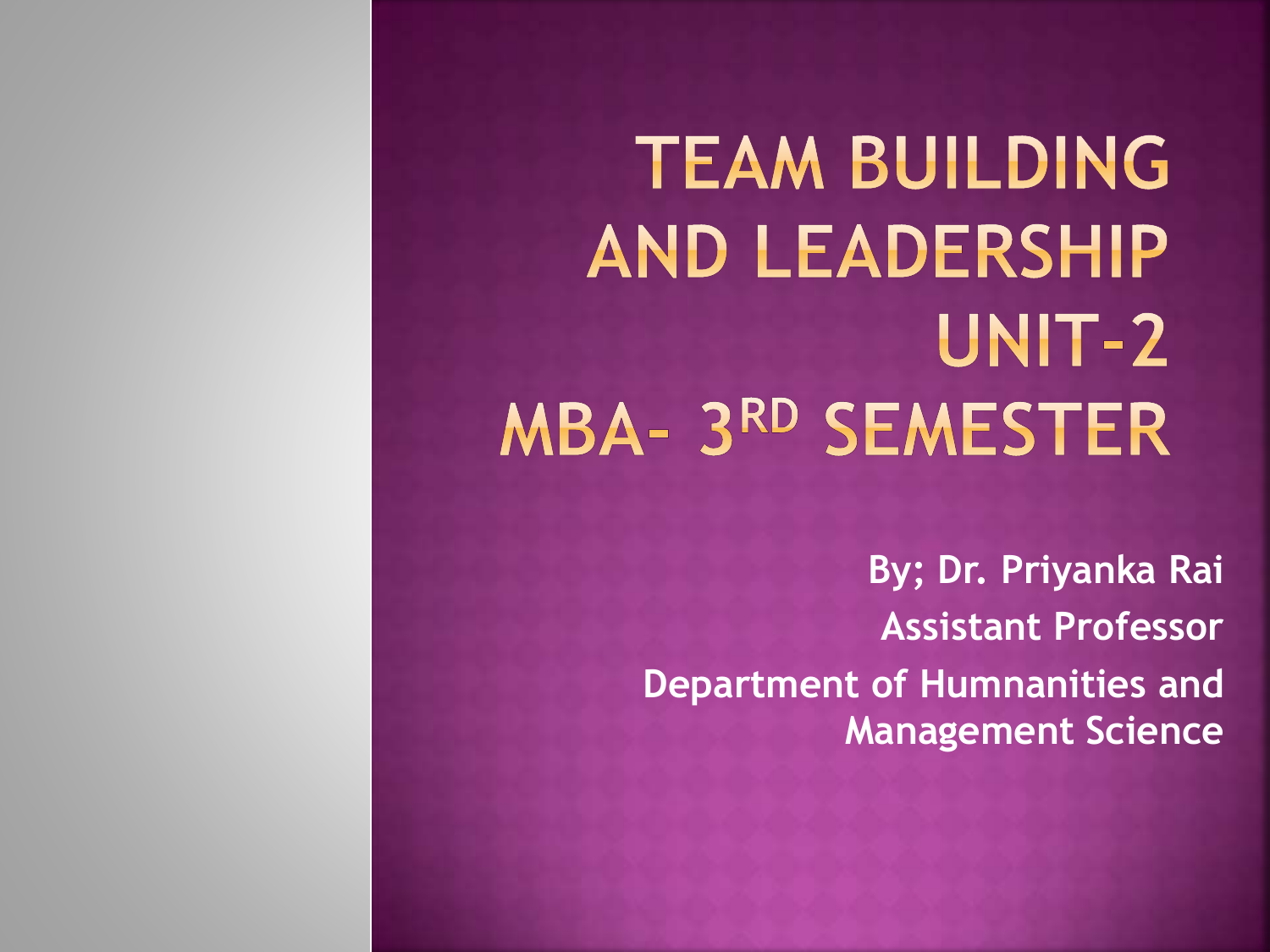**TEAM BUILDING AND LEADERSHIP** UNIT-2 **MBA- 3RD SEMESTER** 

> **By; Dr. Priyanka Rai Assistant Professor Department of Humnanities and Management Science**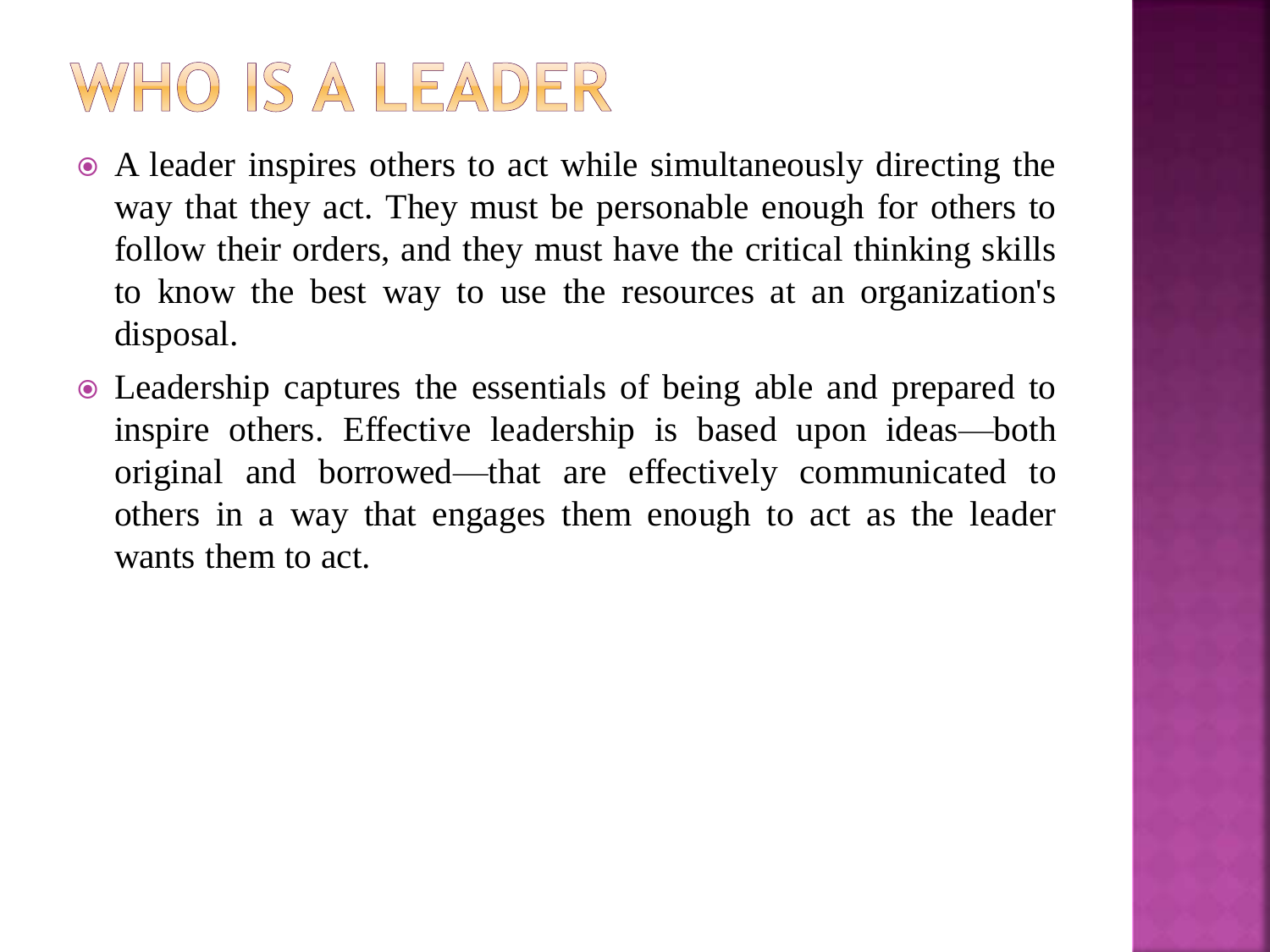## WHO IS A LEADER

- A leader inspires others to act while simultaneously directing the way that they act. They must be personable enough for others to follow their orders, and they must have the critical thinking skills to know the best way to use the resources at an organization's disposal.
- Leadership captures the essentials of being able and prepared to inspire others. Effective leadership is based upon ideas—both original and borrowed—that are effectively communicated to others in a way that engages them enough to act as the leader wants them to act.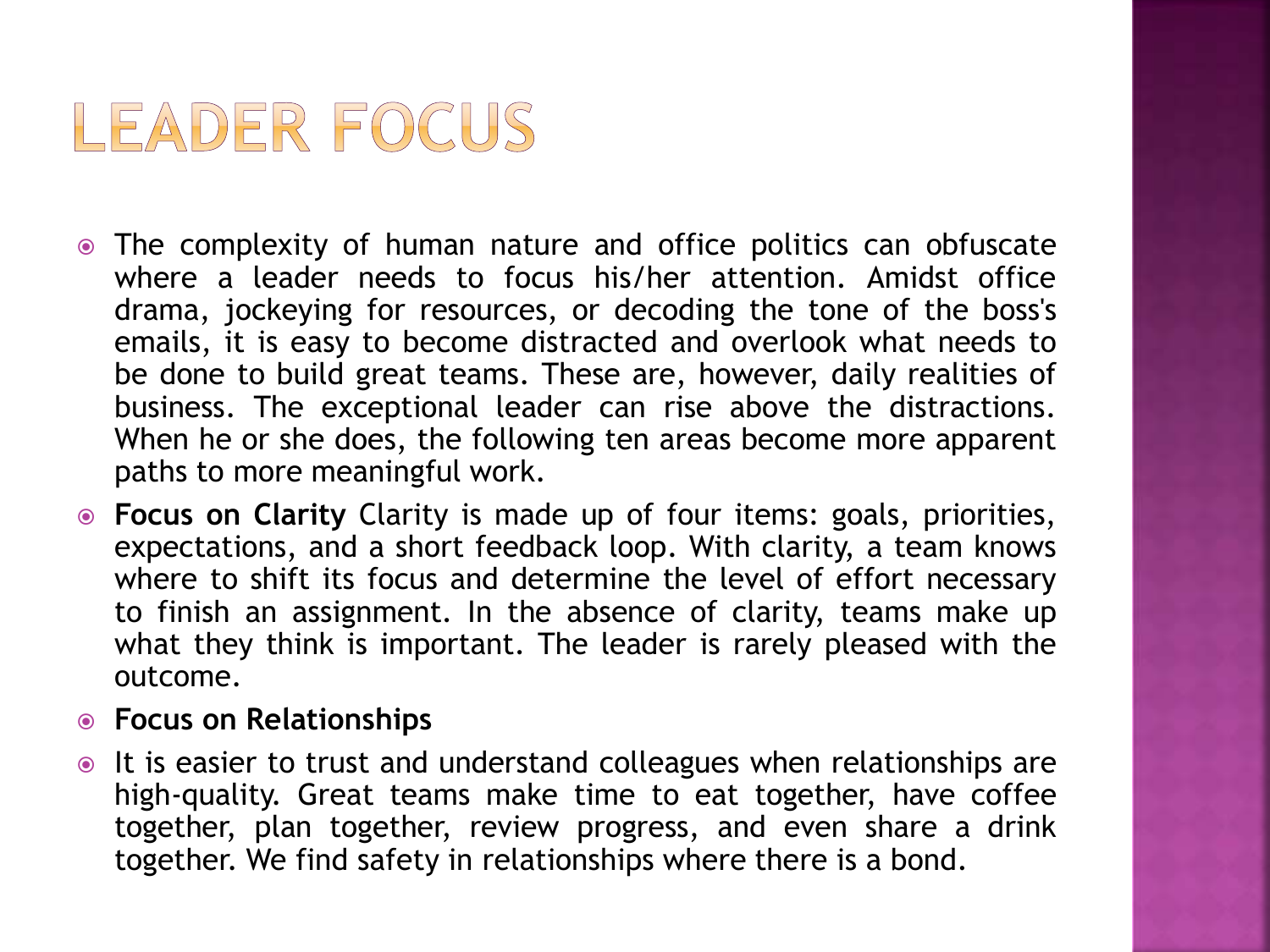

- The complexity of human nature and office politics can obfuscate where a leader needs to focus his/her attention. Amidst office drama, jockeying for resources, or decoding the tone of the boss's emails, it is easy to become distracted and overlook what needs to be done to build great teams. These are, however, daily realities of business. The exceptional leader can rise above the distractions. When he or she does, the following ten areas become more apparent paths to more meaningful work.
- **Focus on Clarity** Clarity is made up of four items: goals, priorities, expectations, and a short feedback loop. With clarity, a team knows where to shift its focus and determine the level of effort necessary to finish an assignment. In the absence of clarity, teams make up what they think is important. The leader is rarely pleased with the outcome.

#### **Focus on Relationships**

 $\bullet$  It is easier to trust and understand colleagues when relationships are high-quality. Great teams make time to eat together, have coffee together, plan together, review progress, and even share a drink together. We find safety in relationships where there is a bond.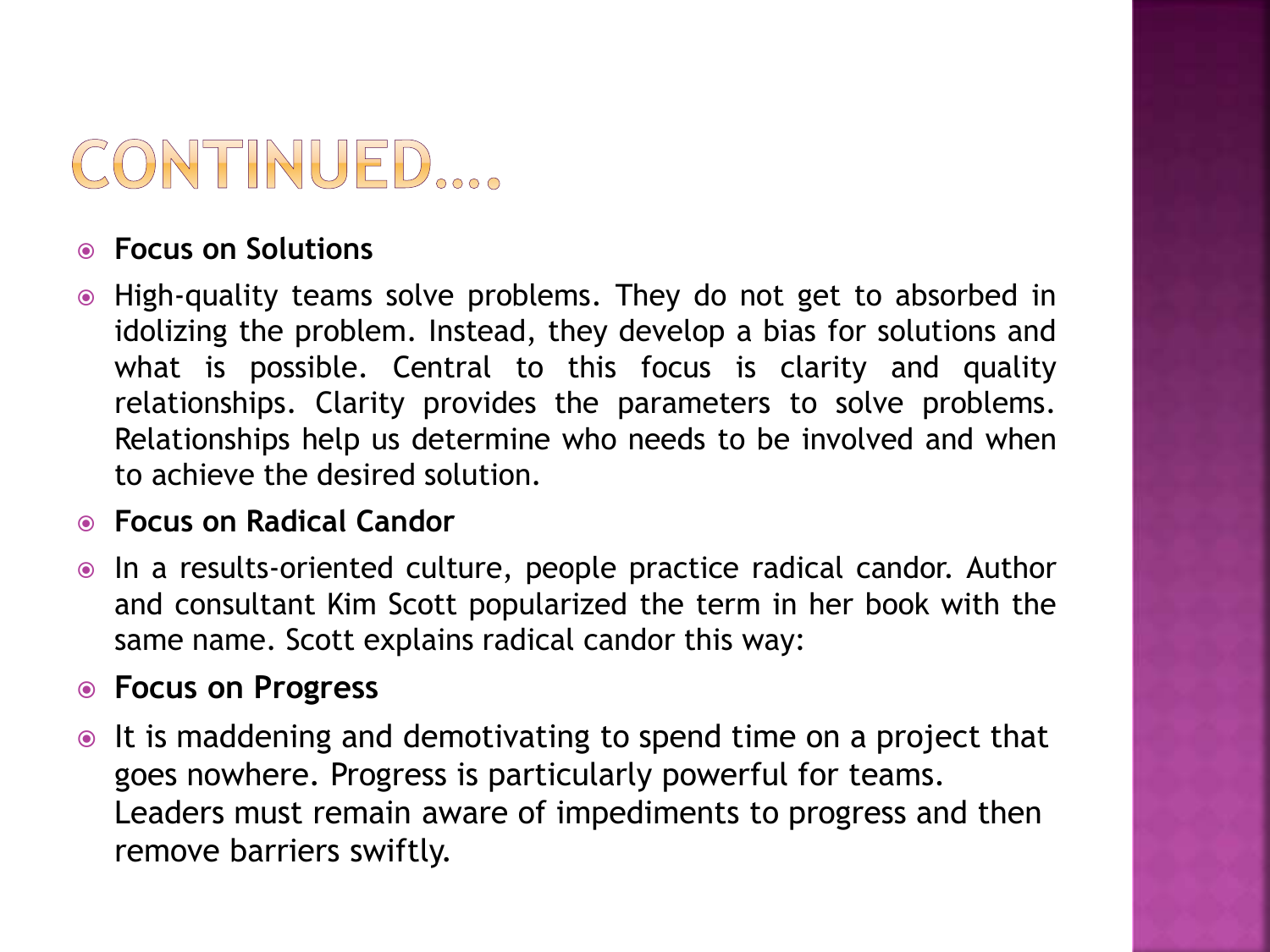## CONTINUED ....

#### **Focus on Solutions**

 High-quality teams solve problems. They do not get to absorbed in idolizing the problem. Instead, they develop a bias for solutions and what is possible. Central to this focus is clarity and quality relationships. Clarity provides the parameters to solve problems. Relationships help us determine who needs to be involved and when to achieve the desired solution.

#### **Focus on Radical Candor**

• In a results-oriented culture, people practice radical candor. Author and consultant Kim Scott popularized the term in her book with the same name. Scott explains radical candor this way:

#### **Focus on Progress**

• It is maddening and demotivating to spend time on a project that goes nowhere. Progress is particularly powerful for teams. Leaders must remain aware of impediments to progress and then remove barriers swiftly.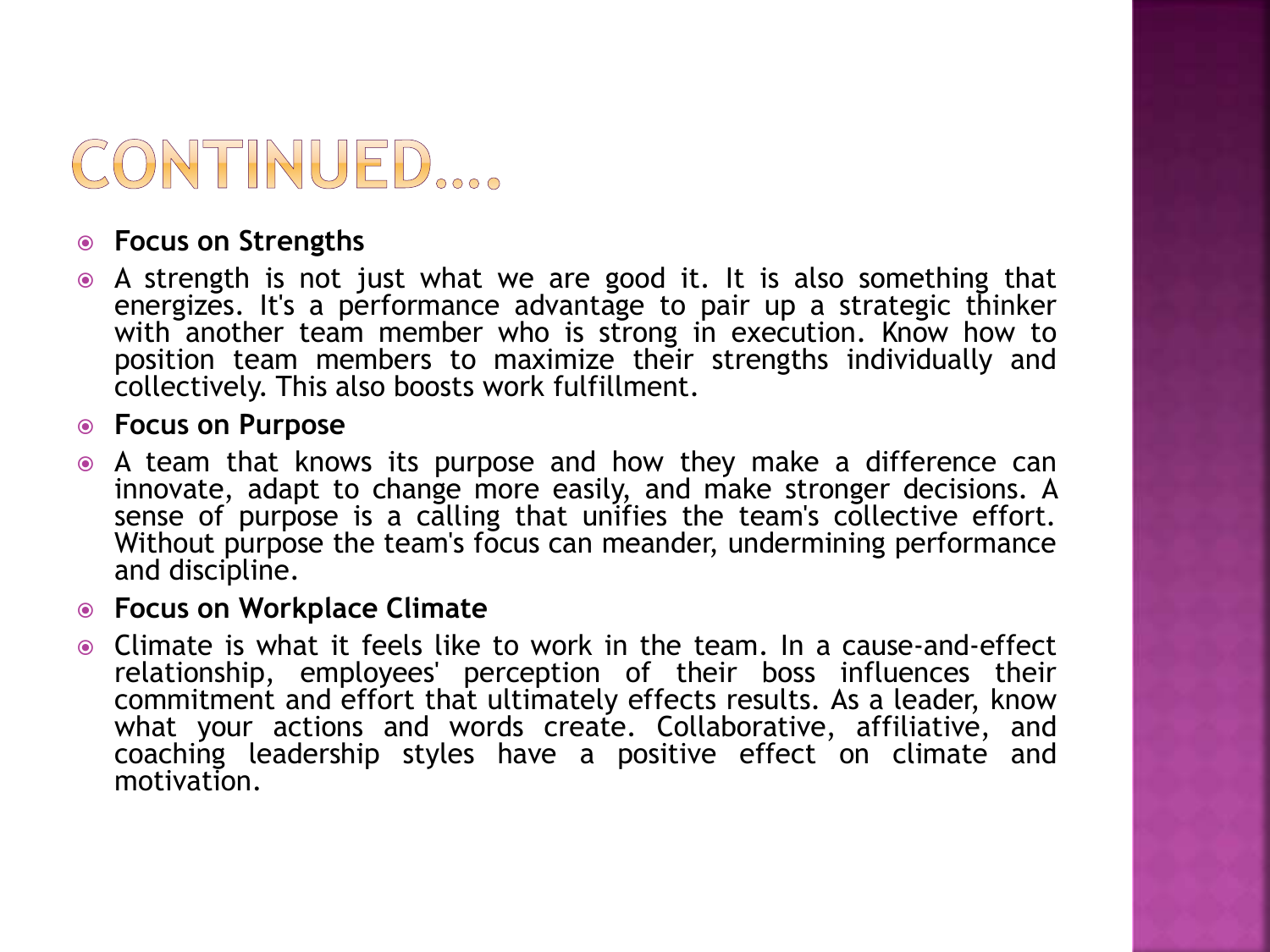

#### **Focus on Strengths**

 A strength is not just what we are good it. It is also something that energizes. It's a performance advantage to pair up a strategic thinker with another team member who is strong in execution. Know how to position team members to maximize their strengths individually and collectively. This also boosts work fulfillment.

#### **Focus on Purpose**

 A team that knows its purpose and how they make a difference can innovate, adapt to change more easily, and make stronger decisions. A sense of purpose is a calling that unifies the team's collective effort. Without purpose the team's focus can meander, undermining performance and discipline.

#### **Focus on Workplace Climate**

 Climate is what it feels like to work in the team. In a cause-and-effect relationship, employees' perception of their boss influences their commitment and effort that ultimately effects results. As a leader, know what your actions and words create. Collaborative, affiliative, and coaching leadership styles have a positive effect on climate and motivation.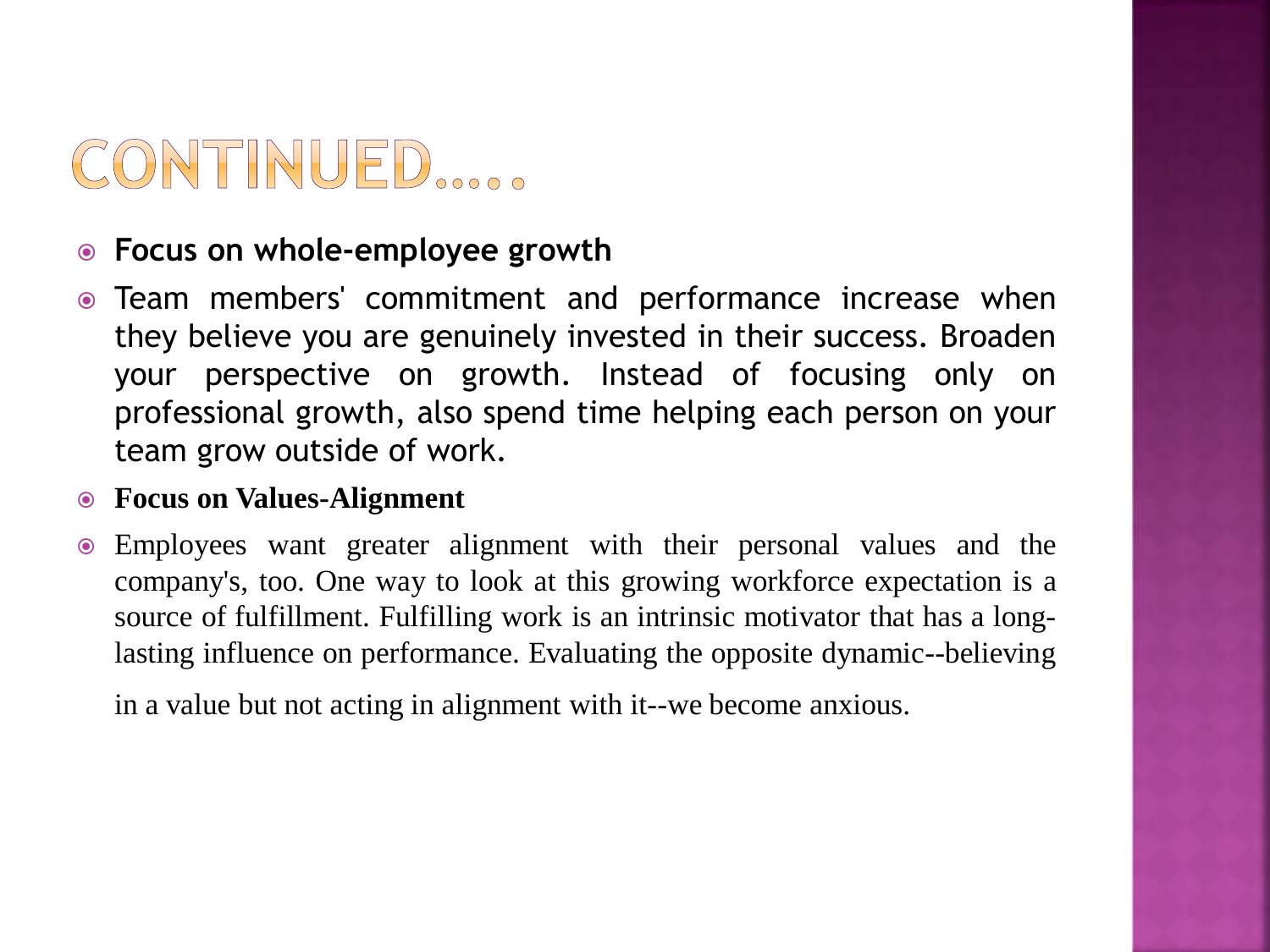## CONTINUED.....

#### **Focus on whole-employee growth**

 Team members' commitment and performance increase when they believe you are genuinely invested in their success. Broaden your perspective on growth. Instead of focusing only on professional growth, also spend time helping each person on your team grow outside of work.

#### **Focus on Values-Alignment**

 Employees want greater alignment with their personal values and the company's, too. One way to look at this growing workforce expectation is a source of fulfillment. Fulfilling work is an intrinsic motivator that has a longlasting influence on performance. Evaluating the opposite dynamic--believing

in a value but not acting in alignment with it--we become anxious.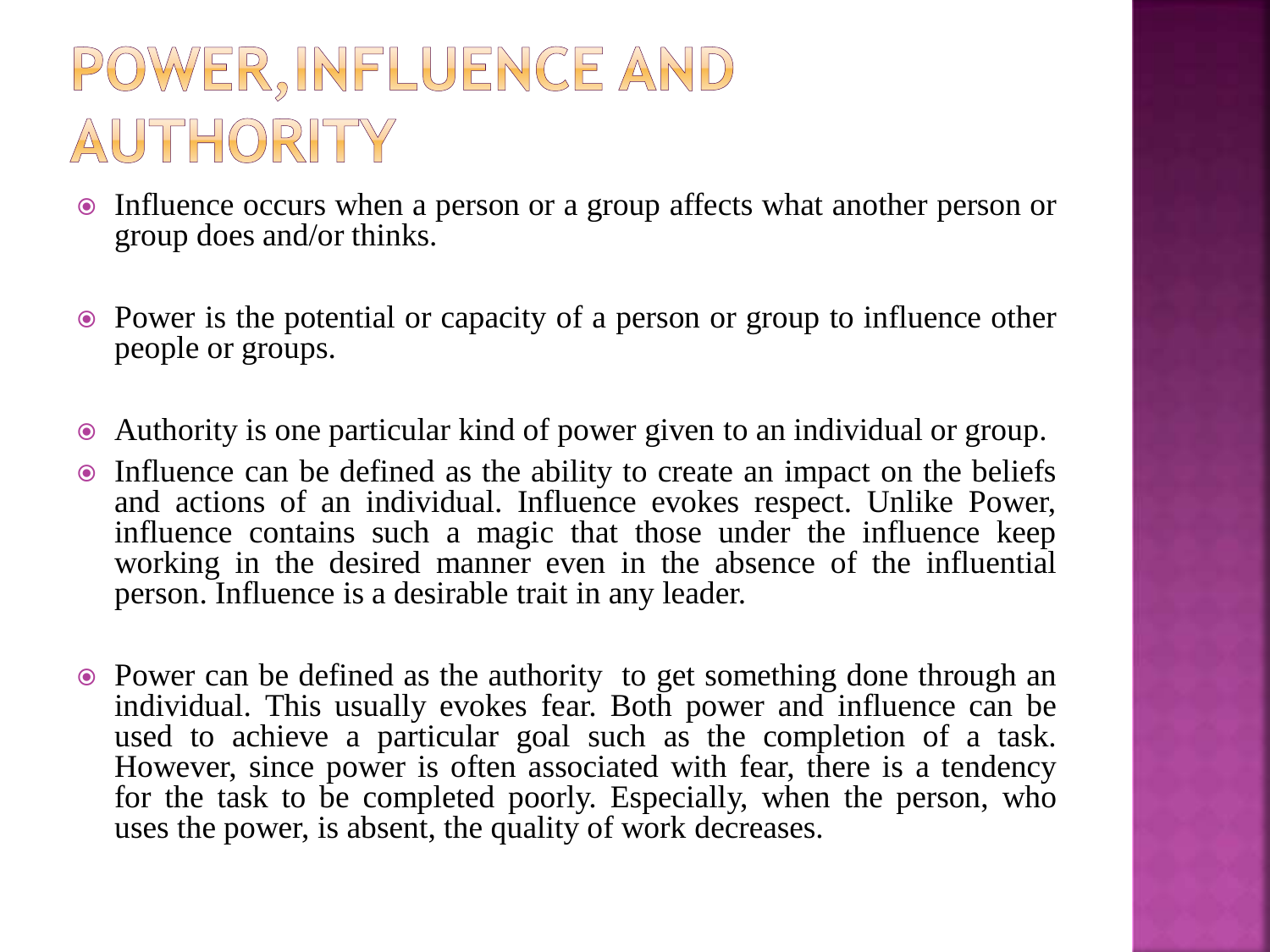## POWER, INFLUENCE AND AUTHORITY

- Influence occurs when a person or a group affects what another person or group does and/or thinks.
- Power is the potential or capacity of a person or group to influence other people or groups.
- Authority is one particular kind of power given to an individual or group.
- Influence can be defined as the ability to create an impact on the beliefs and actions of an individual. Influence evokes respect. Unlike Power, influence contains such a magic that those under the influence keep working in the desired manner even in the absence of the influential person. Influence is a desirable trait in any leader.
- Power can be defined as the authority to get something done through an individual. This usually evokes fear. Both power and influence can be used to achieve a particular goal such as the completion of a task. However, since power is often associated with fear, there is a tendency for the task to be completed poorly. Especially, when the person, who uses the power, is absent, the quality of work decreases.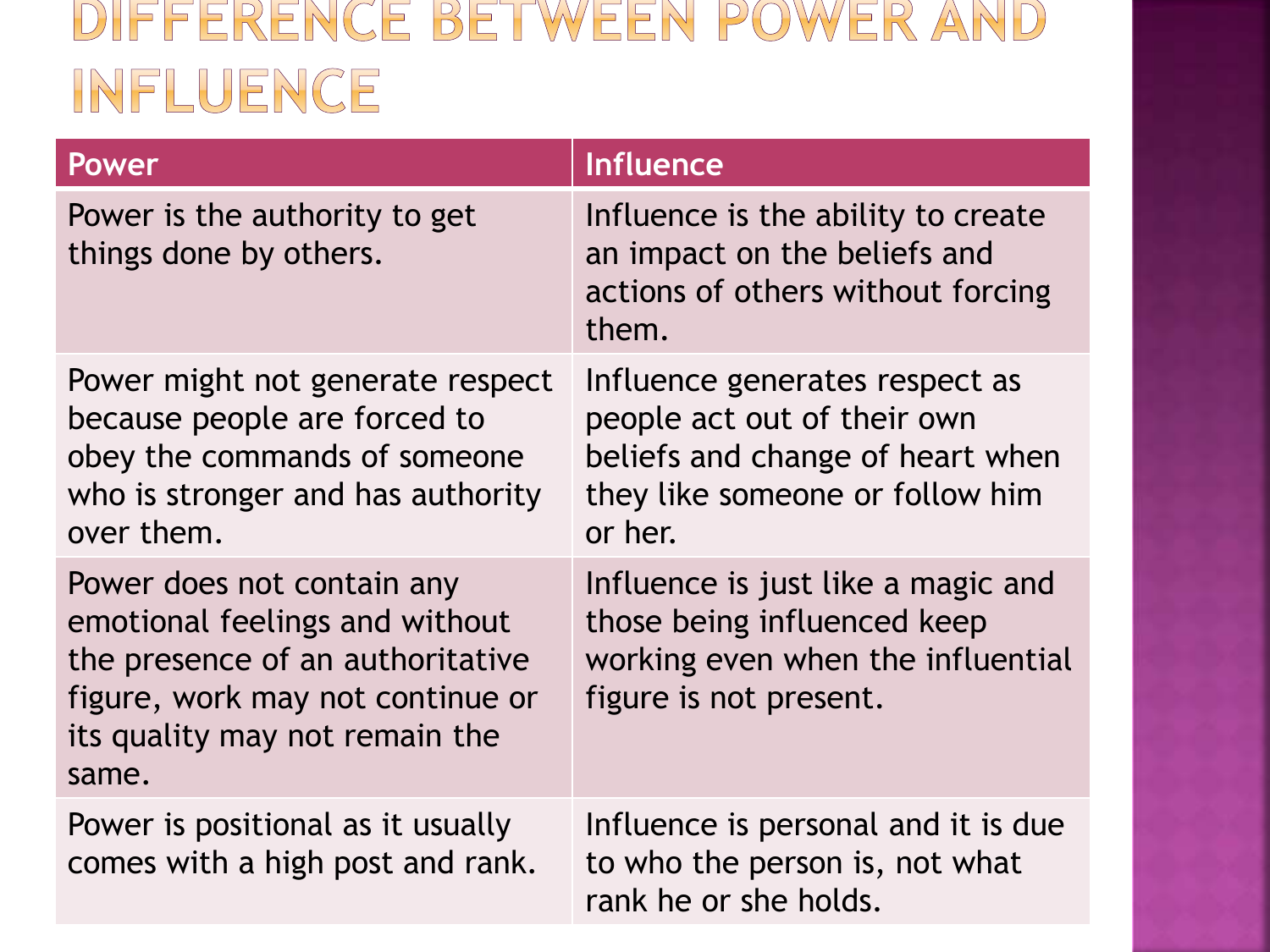## DIFFERENCE BETWEEN POWER AND INFLUENCE

| Power                                                                                                                                                                           | <b>Influence</b>                                                                                                                                |
|---------------------------------------------------------------------------------------------------------------------------------------------------------------------------------|-------------------------------------------------------------------------------------------------------------------------------------------------|
| Power is the authority to get<br>things done by others.                                                                                                                         | Influence is the ability to create<br>an impact on the beliefs and<br>actions of others without forcing<br>them.                                |
| Power might not generate respect<br>because people are forced to<br>obey the commands of someone<br>who is stronger and has authority<br>over them.                             | Influence generates respect as<br>people act out of their own<br>beliefs and change of heart when<br>they like someone or follow him<br>or her. |
| Power does not contain any<br>emotional feelings and without<br>the presence of an authoritative<br>figure, work may not continue or<br>its quality may not remain the<br>same. | Influence is just like a magic and<br>those being influenced keep<br>working even when the influential<br>figure is not present.                |
| Power is positional as it usually<br>comes with a high post and rank.                                                                                                           | Influence is personal and it is due<br>to who the person is, not what<br>rank he or she holds.                                                  |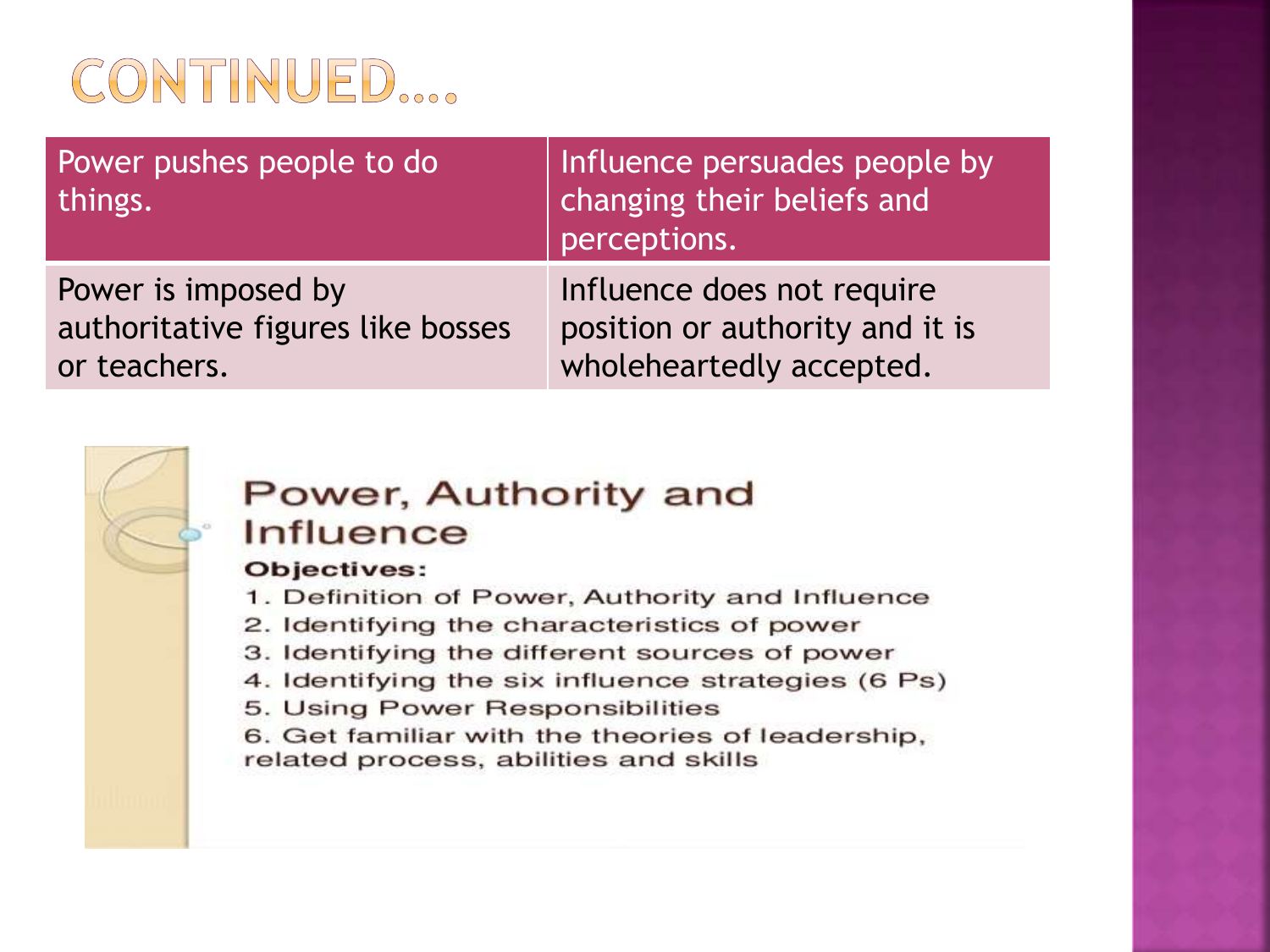

Power pushes people to do things. Influence persuades people by changing their beliefs and perceptions.

Power is imposed by authoritative figures like bosses or teachers.

Influence does not require position or authority and it is wholeheartedly accepted.



#### Power, Authority and Influence

#### Objectives:

- 1. Definition of Power, Authority and Influence
- 2. Identifying the characteristics of power
- 3. Identifying the different sources of power
- 4. Identifying the six influence strategies (6 Ps)
- 5. Using Power Responsibilities

6. Get familiar with the theories of leadership, related process, abilities and skills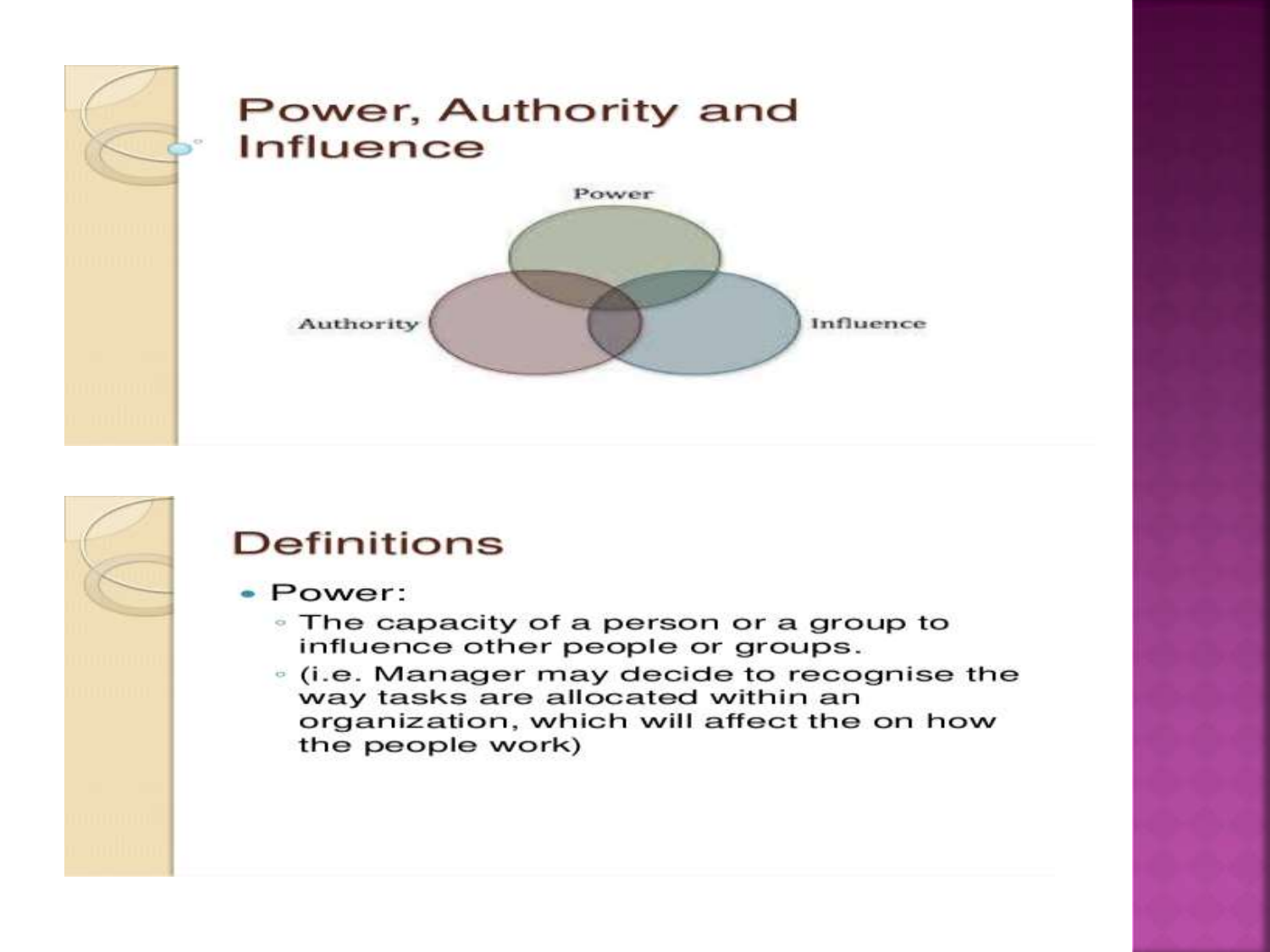

#### **Definitions** · Power: • The capacity of a person or a group to influence other people or groups. <sup>®</sup> (i.e. Manager may decide to recognise the way tasks are allocated within an organization, which will affect the on how the people work)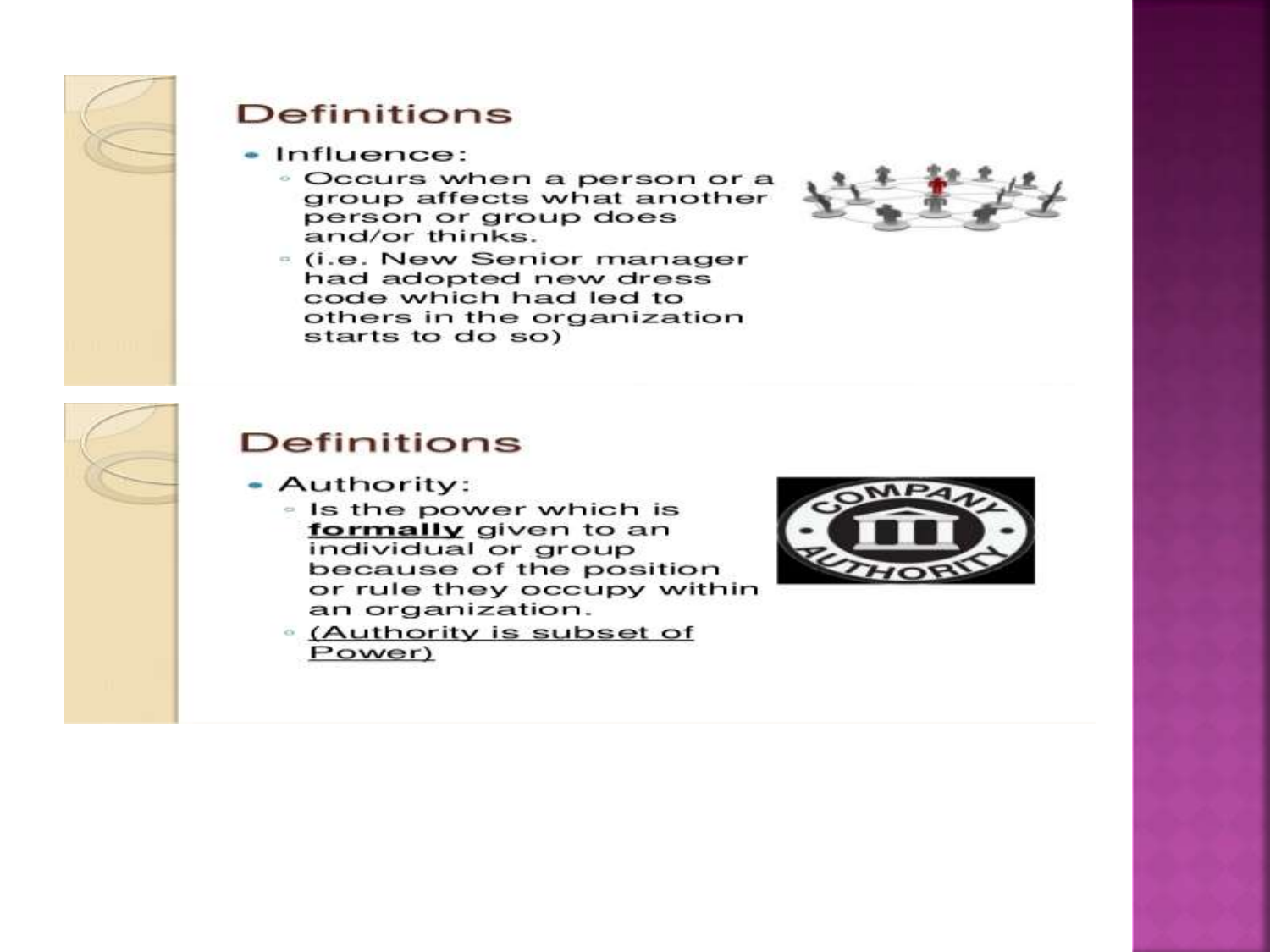

#### **Definitions**

- $\bullet$  Influence:
	- · Occurs when a person or a group affects what another person or group does and/or thinks.
	- . (i.e. New Senior manager had adopted new dress code which had led to others in the organization starts to do so)



#### **Definitions**

- Authority:
	- . Is the power which is formally given to an individual or group because of the position or rule they occupy within an organization.
	- <sup>®</sup> (Authority is subset of Power)

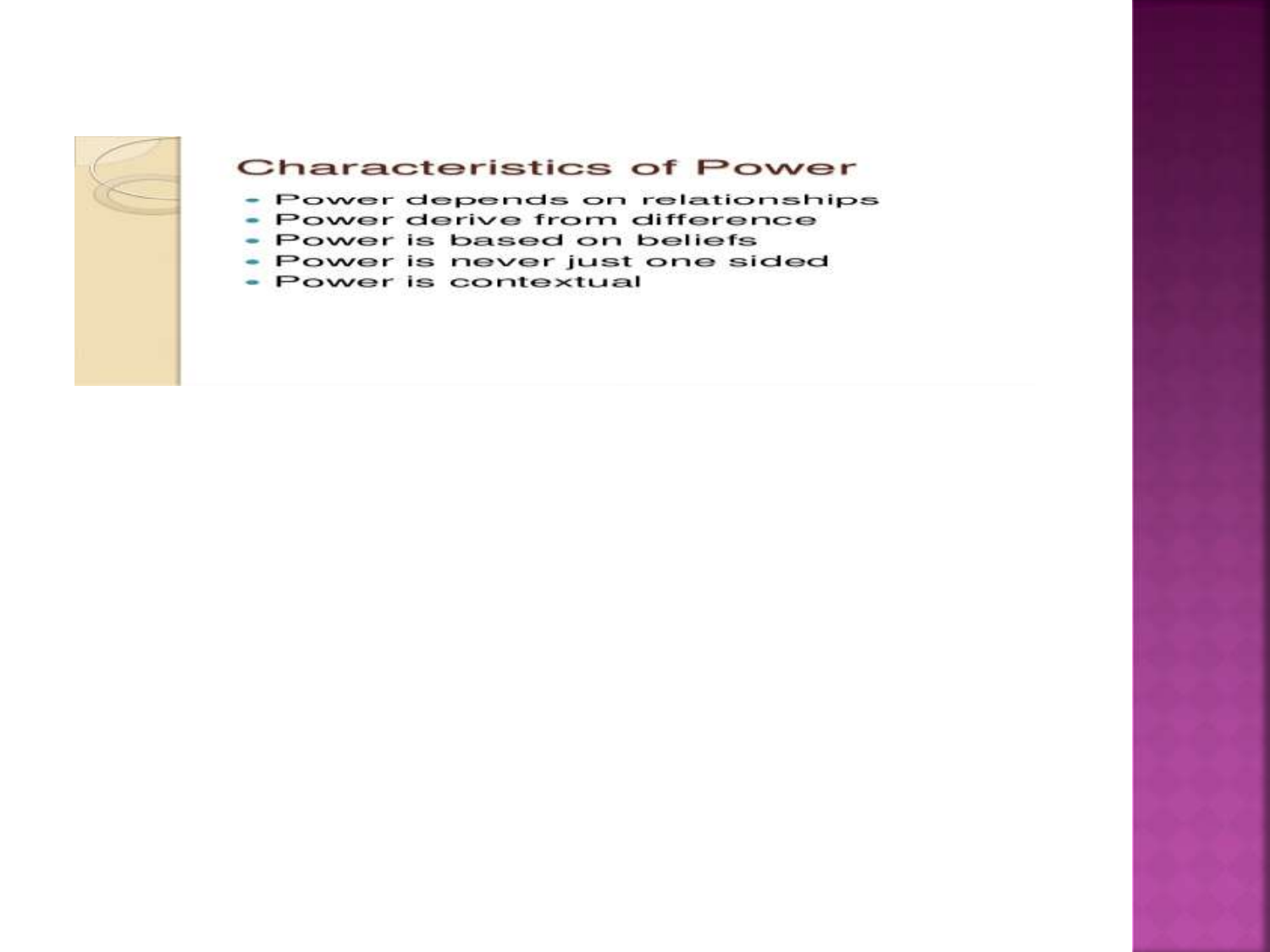

#### **Characteristics of Power**

- Power depends on relationships
- Power derive from difference
- Power is based on beliefs
- · Power is never just one sided
- · Power is contextual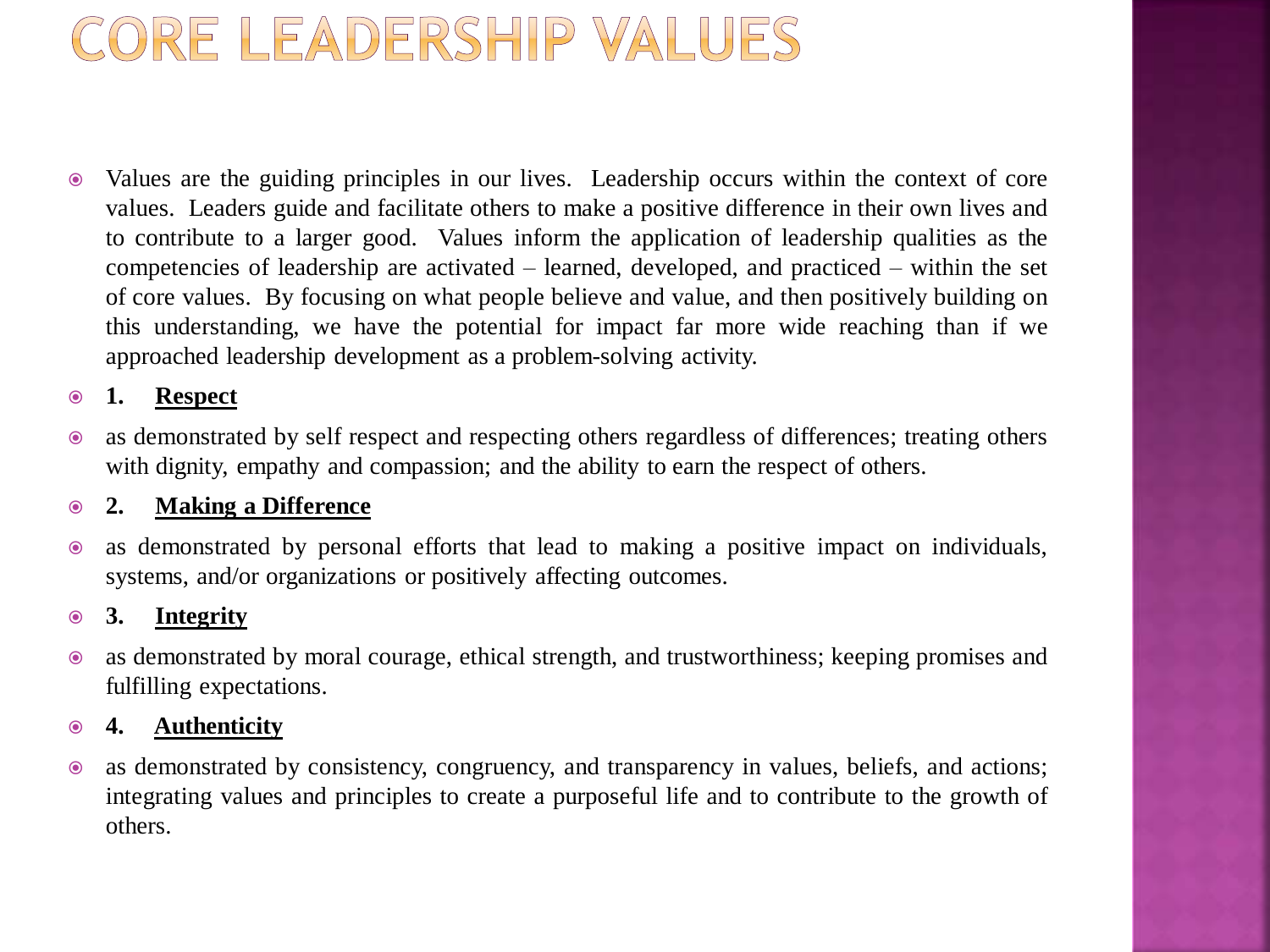## ORE LEADERSHIP VALUES

 Values are the guiding principles in our lives. Leadership occurs within the context of core values. Leaders guide and facilitate others to make a positive difference in their own lives and to contribute to a larger good. Values inform the application of leadership qualities as the competencies of leadership are activated – learned, developed, and practiced – within the set of core values. By focusing on what people believe and value, and then positively building on this understanding, we have the potential for impact far more wide reaching than if we approached leadership development as a problem-solving activity.

#### **1. Respect**

 as demonstrated by self respect and respecting others regardless of differences; treating others with dignity, empathy and compassion; and the ability to earn the respect of others.

#### **2. Making a Difference**

 as demonstrated by personal efforts that lead to making a positive impact on individuals, systems, and/or organizations or positively affecting outcomes.

#### **3. Integrity**

 as demonstrated by moral courage, ethical strength, and trustworthiness; keeping promises and fulfilling expectations.

#### **4. Authenticity**

 as demonstrated by consistency, congruency, and transparency in values, beliefs, and actions; integrating values and principles to create a purposeful life and to contribute to the growth of others.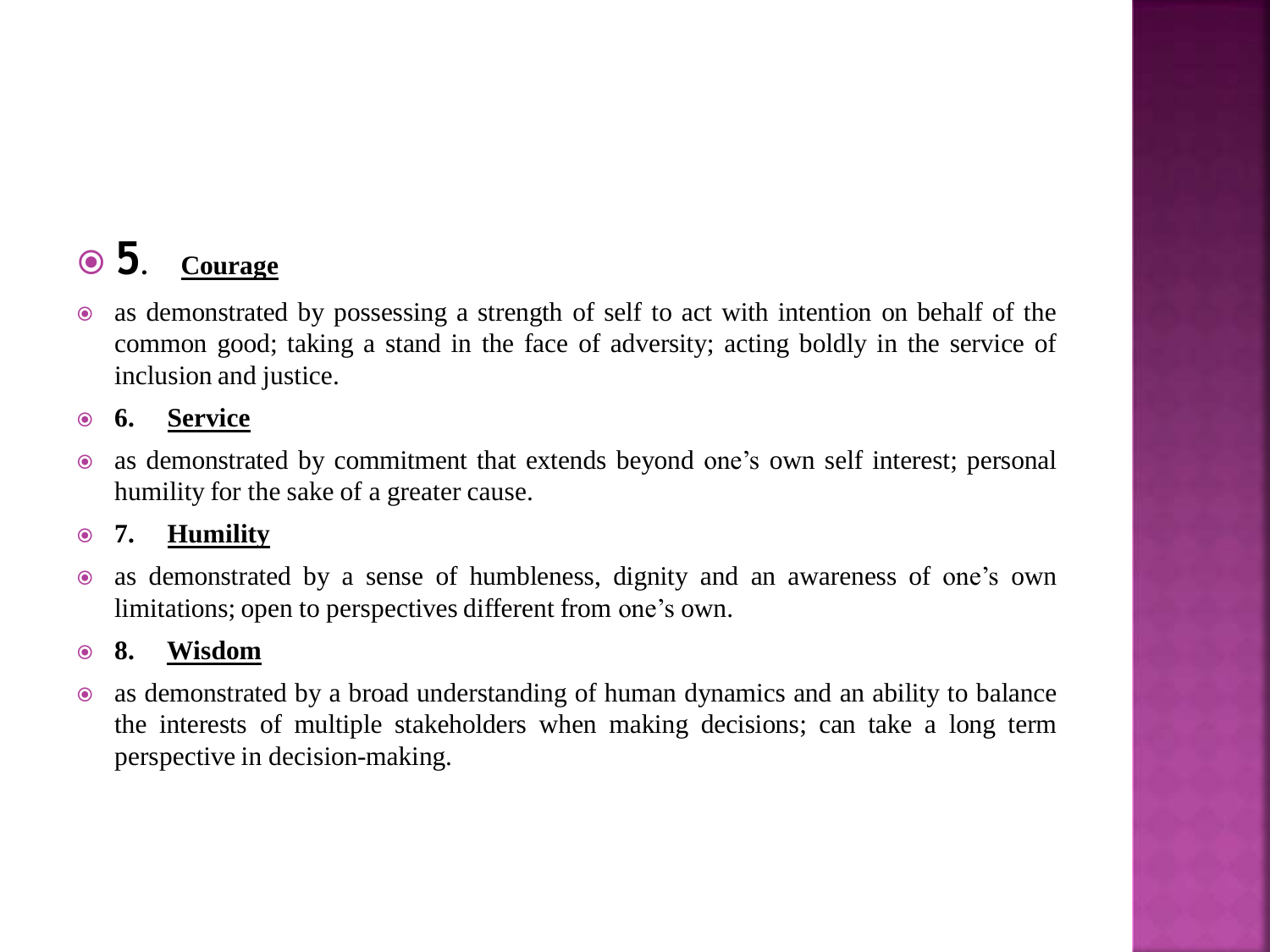### **5. Courage**

 as demonstrated by possessing a strength of self to act with intention on behalf of the common good; taking a stand in the face of adversity; acting boldly in the service of inclusion and justice.

#### **6. Service**

 as demonstrated by commitment that extends beyond one's own self interest; personal humility for the sake of a greater cause.

#### **7. Humility**

 as demonstrated by a sense of humbleness, dignity and an awareness of one's own limitations; open to perspectives different from one's own.

#### **8. Wisdom**

 as demonstrated by a broad understanding of human dynamics and an ability to balance the interests of multiple stakeholders when making decisions; can take a long term perspective in decision-making.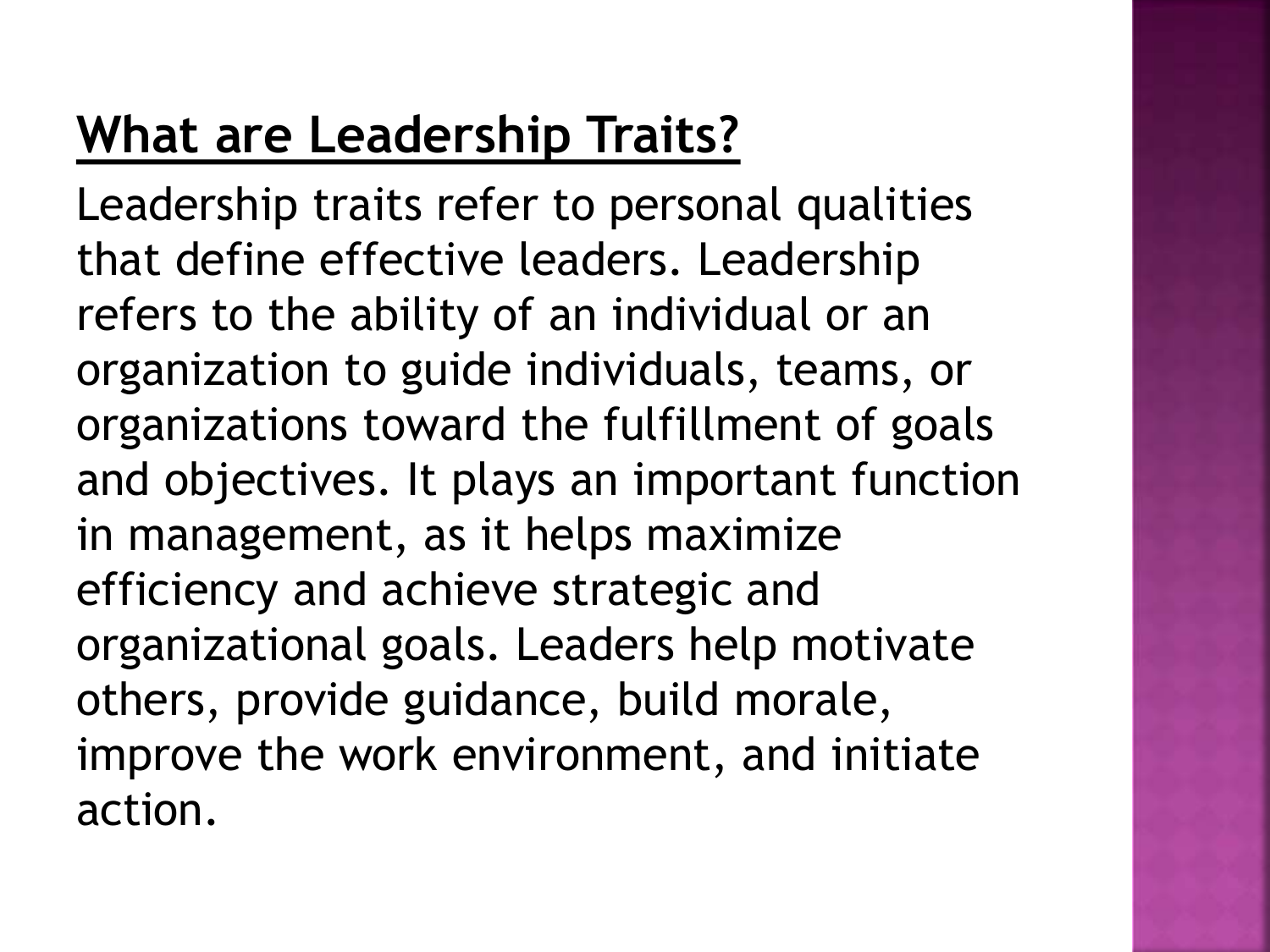## **What are Leadership Traits?**

Leadership traits refer to personal qualities that define effective leaders. Leadership refers to the ability of an individual or an organization to guide individuals, teams, or organizations toward the fulfillment of goals and objectives. It plays an important function in management, as it helps maximize efficiency and achieve strategic and organizational goals. Leaders help motivate others, provide guidance, build morale, improve the work environment, and initiate action.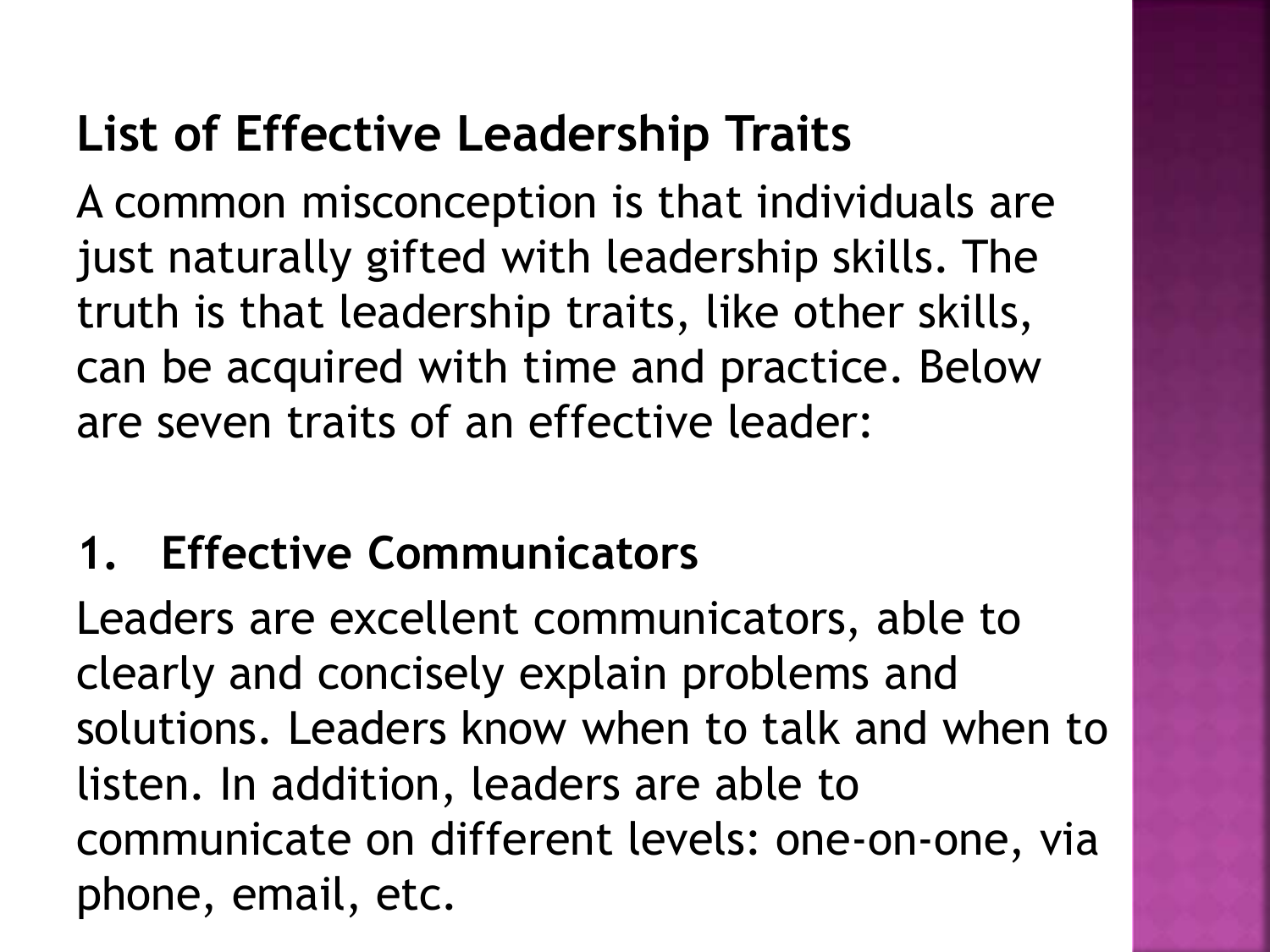## **List of Effective Leadership Traits**

A common misconception is that individuals are just naturally gifted with leadership skills. The truth is that leadership traits, like other skills, can be acquired with time and practice. Below are seven traits of an effective leader:

### **1. Effective Communicators**

Leaders are excellent communicators, able to clearly and concisely explain problems and solutions. Leaders know when to talk and when to listen. In addition, leaders are able to communicate on different levels: one-on-one, via phone, email, etc.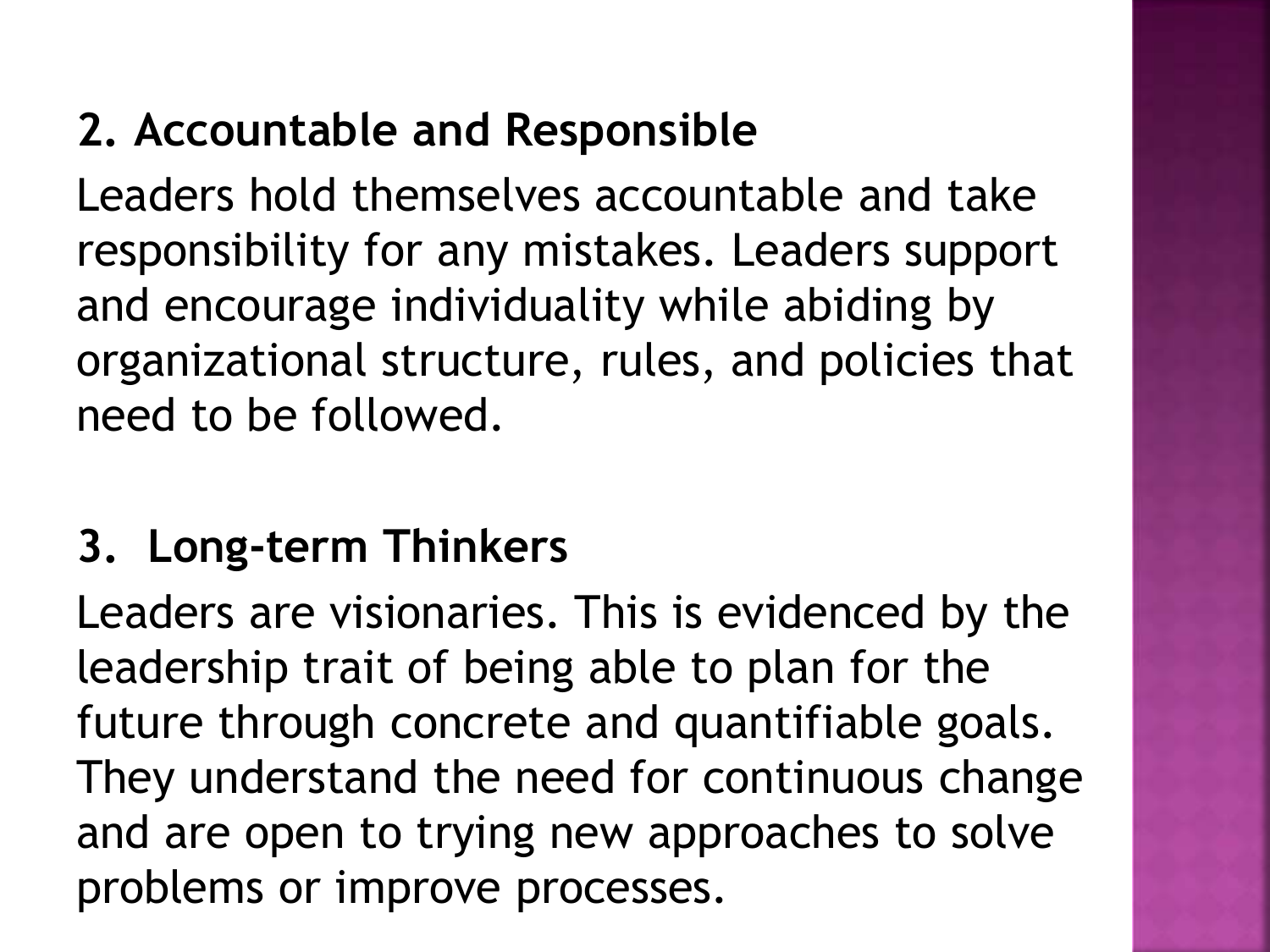### **2. Accountable and Responsible**

Leaders hold themselves accountable and take responsibility for any mistakes. Leaders support and encourage individuality while abiding by organizational structure, rules, and policies that need to be followed.

### **3. Long-term Thinkers**

Leaders are visionaries. This is evidenced by the leadership trait of being able to plan for the future through concrete and quantifiable goals. They understand the need for continuous change and are open to trying new approaches to solve problems or improve processes.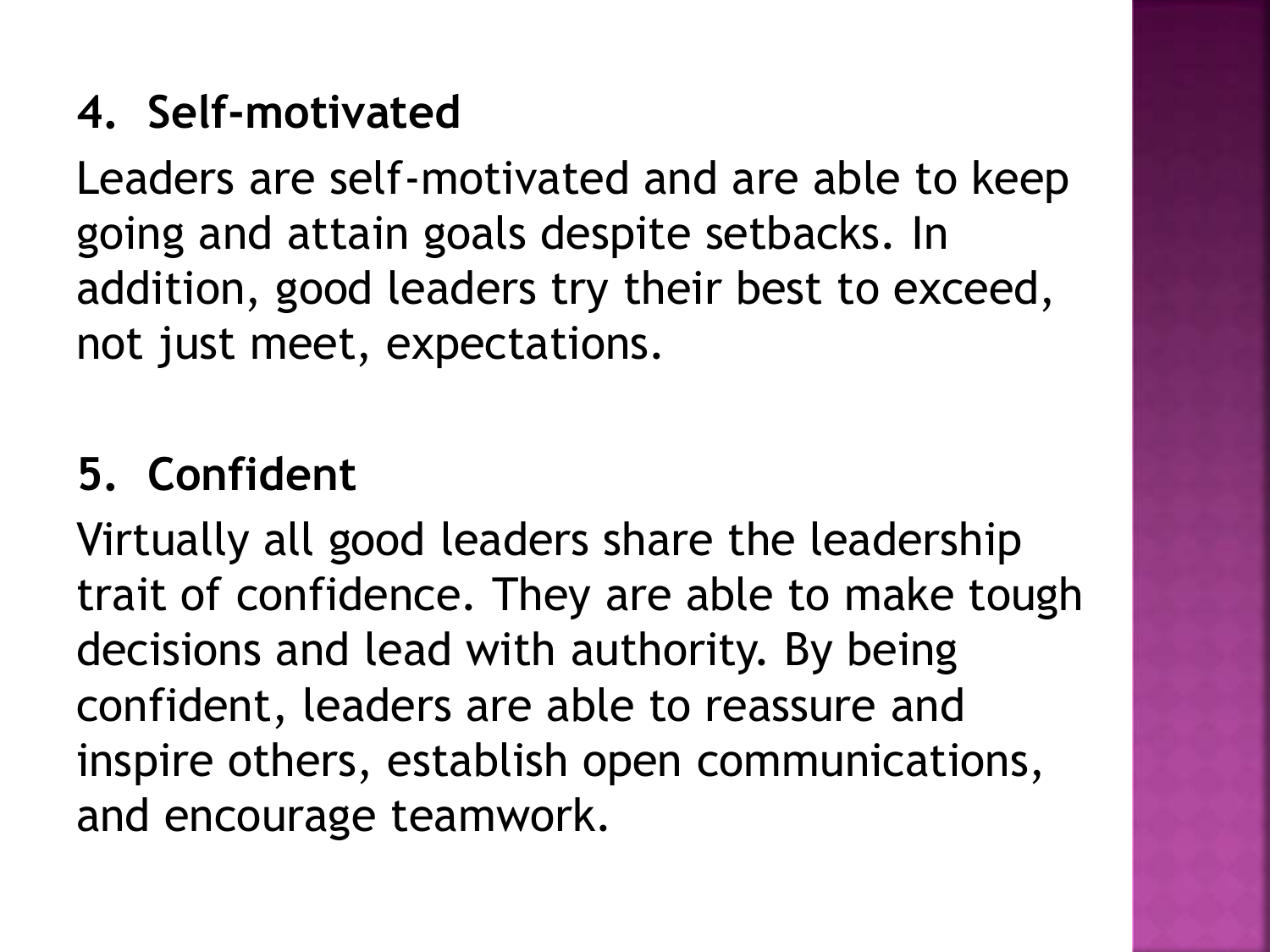### **4. Self-motivated**

Leaders are self-motivated and are able to keep going and attain goals despite setbacks. In addition, good leaders try their best to exceed, not just meet, expectations.

### **5. Confident**

Virtually all good leaders share the leadership trait of confidence. They are able to make tough decisions and lead with authority. By being confident, leaders are able to reassure and inspire others, establish open communications, and encourage teamwork.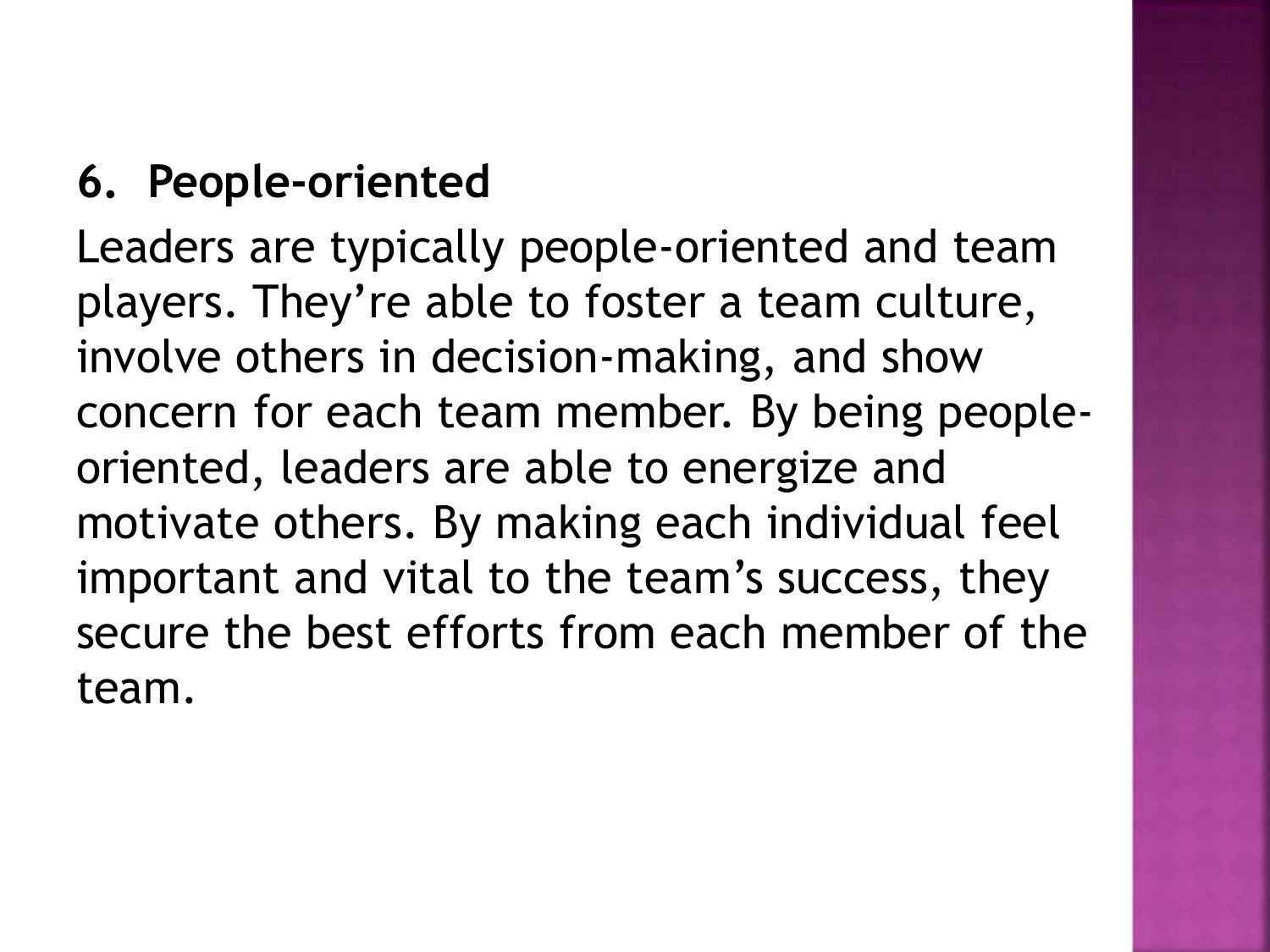### **6. People-oriented**

Leaders are typically people-oriented and team players. They're able to foster a team culture, involve others in decision-making, and show concern for each team member. By being peopleoriented, leaders are able to energize and motivate others. By making each individual feel important and vital to the team's success, they secure the best efforts from each member of the team.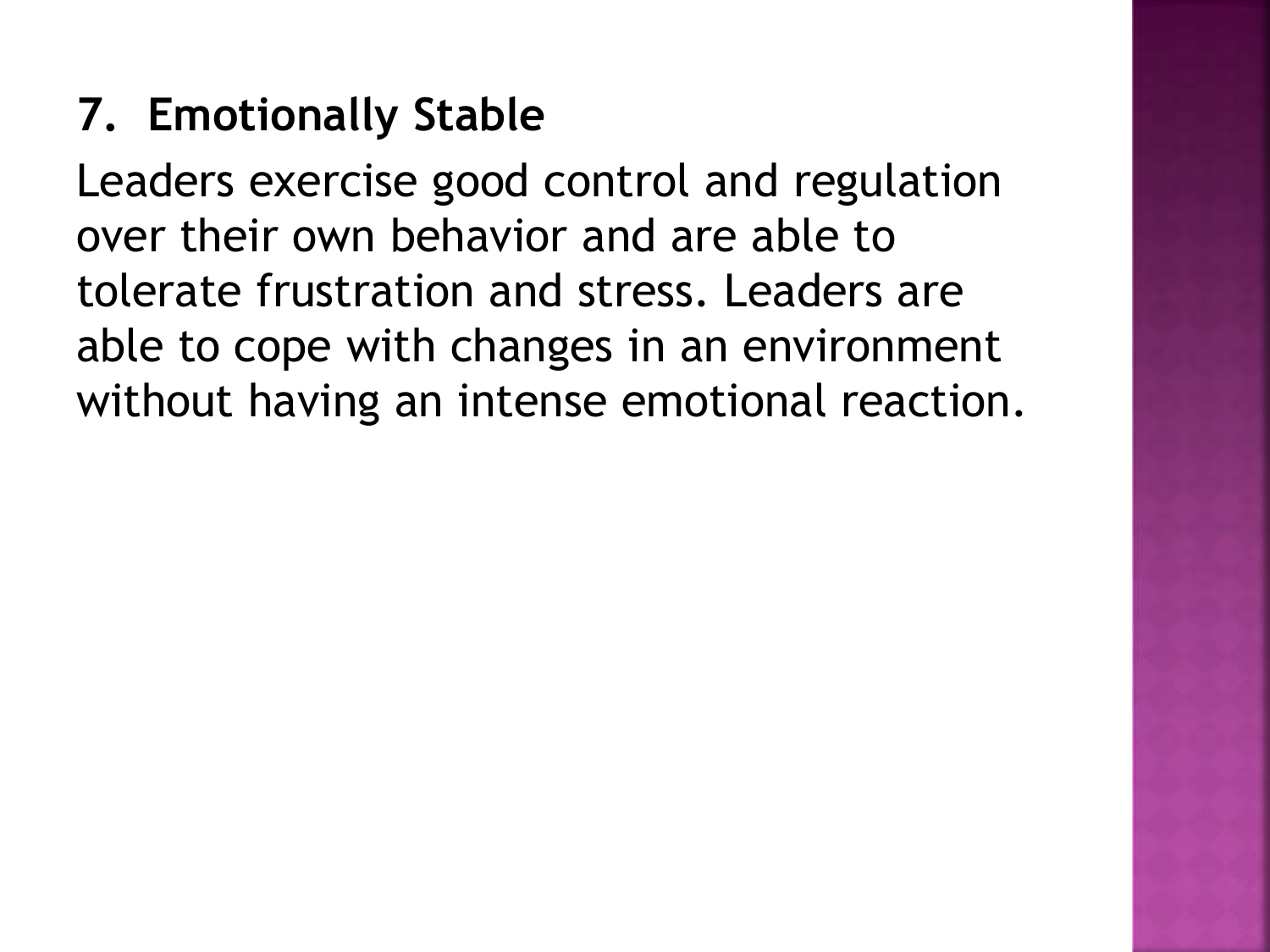### **7. Emotionally Stable**

Leaders exercise good control and regulation over their own behavior and are able to tolerate frustration and stress. Leaders are able to cope with changes in an environment without having an intense emotional reaction.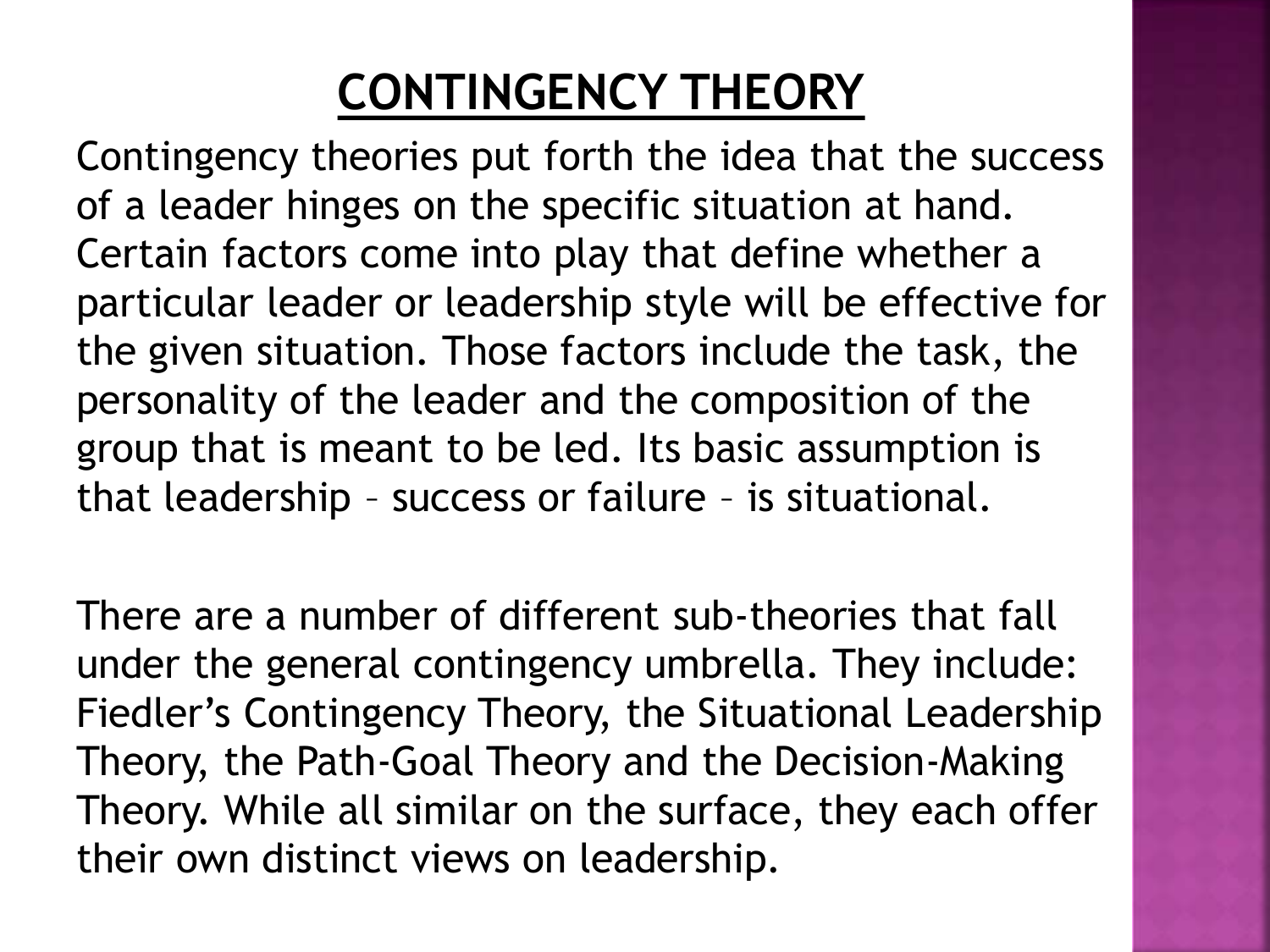## **CONTINGENCY THEORY**

Contingency theories put forth the idea that the success of a leader hinges on the specific situation at hand. Certain factors come into play that define whether a particular leader or leadership style will be effective for the given situation. Those factors include the task, the personality of the leader and the composition of the group that is meant to be led. Its basic assumption is that leadership – success or failure – is situational.

There are a number of different sub-theories that fall under the general contingency umbrella. They include: Fiedler's Contingency Theory, the Situational Leadership Theory, the Path-Goal Theory and the Decision-Making Theory. While all similar on the surface, they each offer their own distinct views on leadership.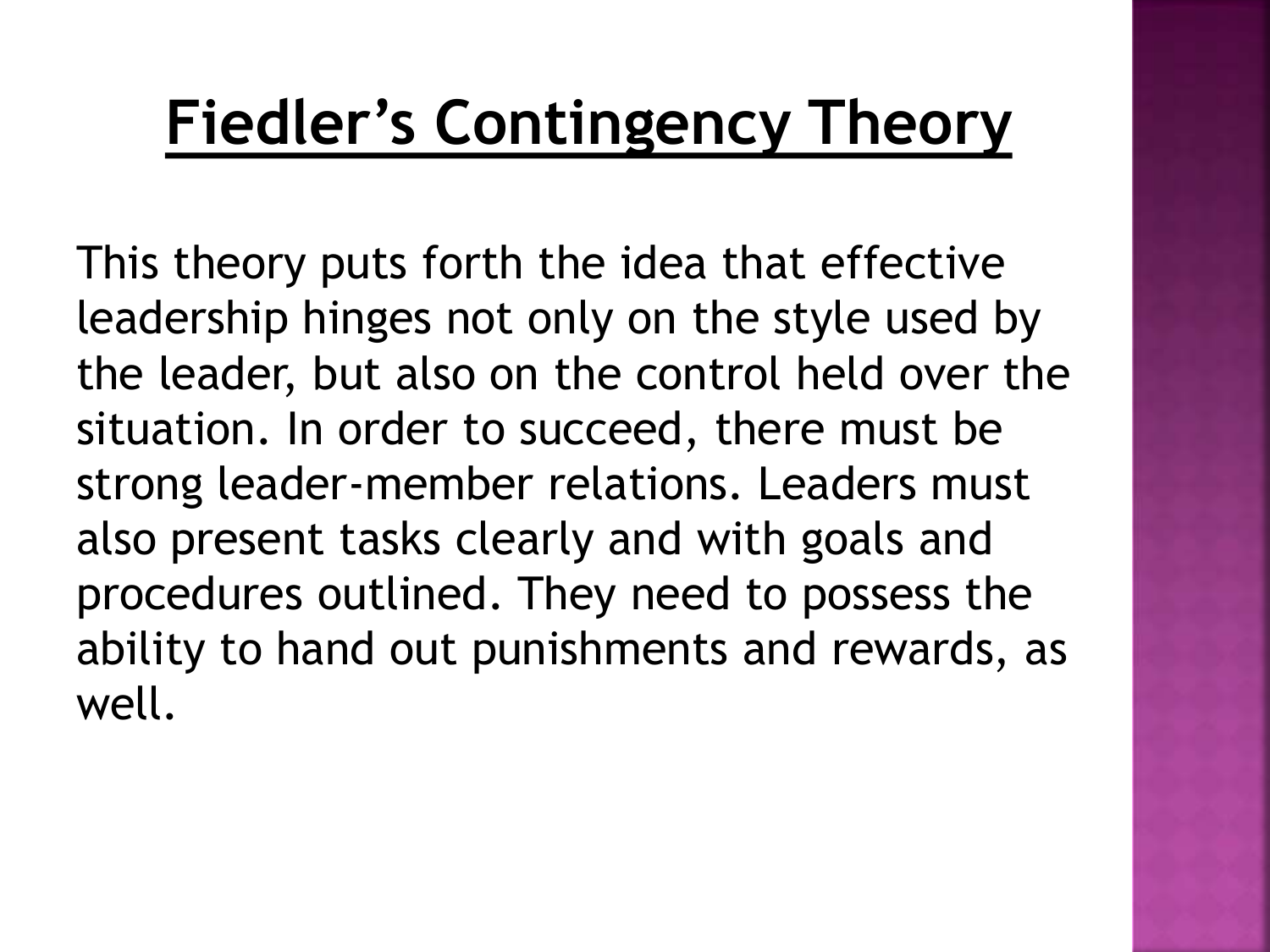## **Fiedler's Contingency Theory**

This theory puts forth the idea that effective leadership hinges not only on the style used by the leader, but also on the control held over the situation. In order to succeed, there must be strong leader-member relations. Leaders must also present tasks clearly and with goals and procedures outlined. They need to possess the ability to hand out punishments and rewards, as well.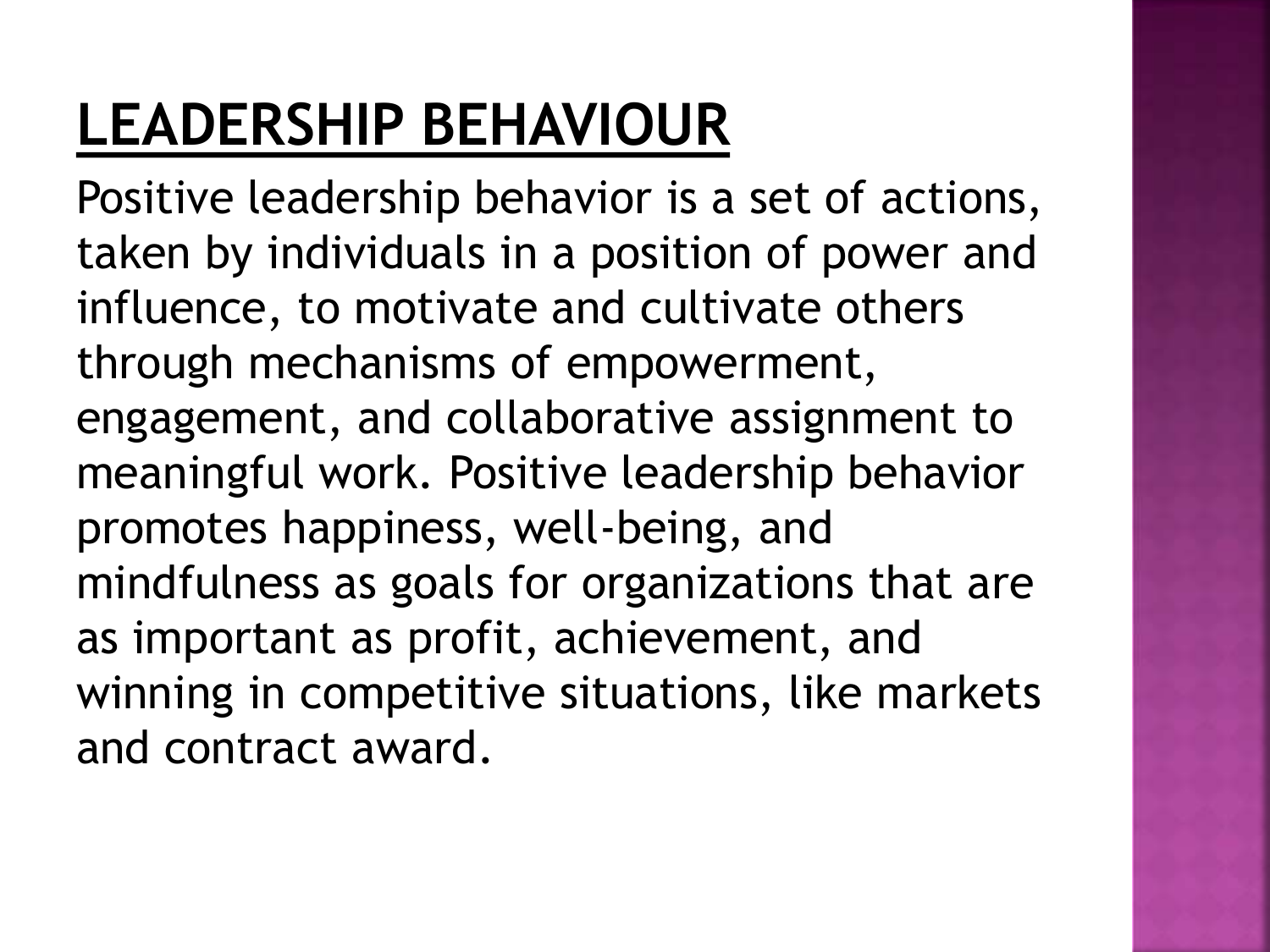## **LEADERSHIP BEHAVIOUR**

Positive leadership behavior is a set of actions, taken by individuals in a position of power and influence, to motivate and cultivate others through mechanisms of empowerment, engagement, and collaborative assignment to meaningful work. Positive leadership behavior promotes happiness, well-being, and mindfulness as goals for organizations that are as important as profit, achievement, and winning in competitive situations, like markets and contract award.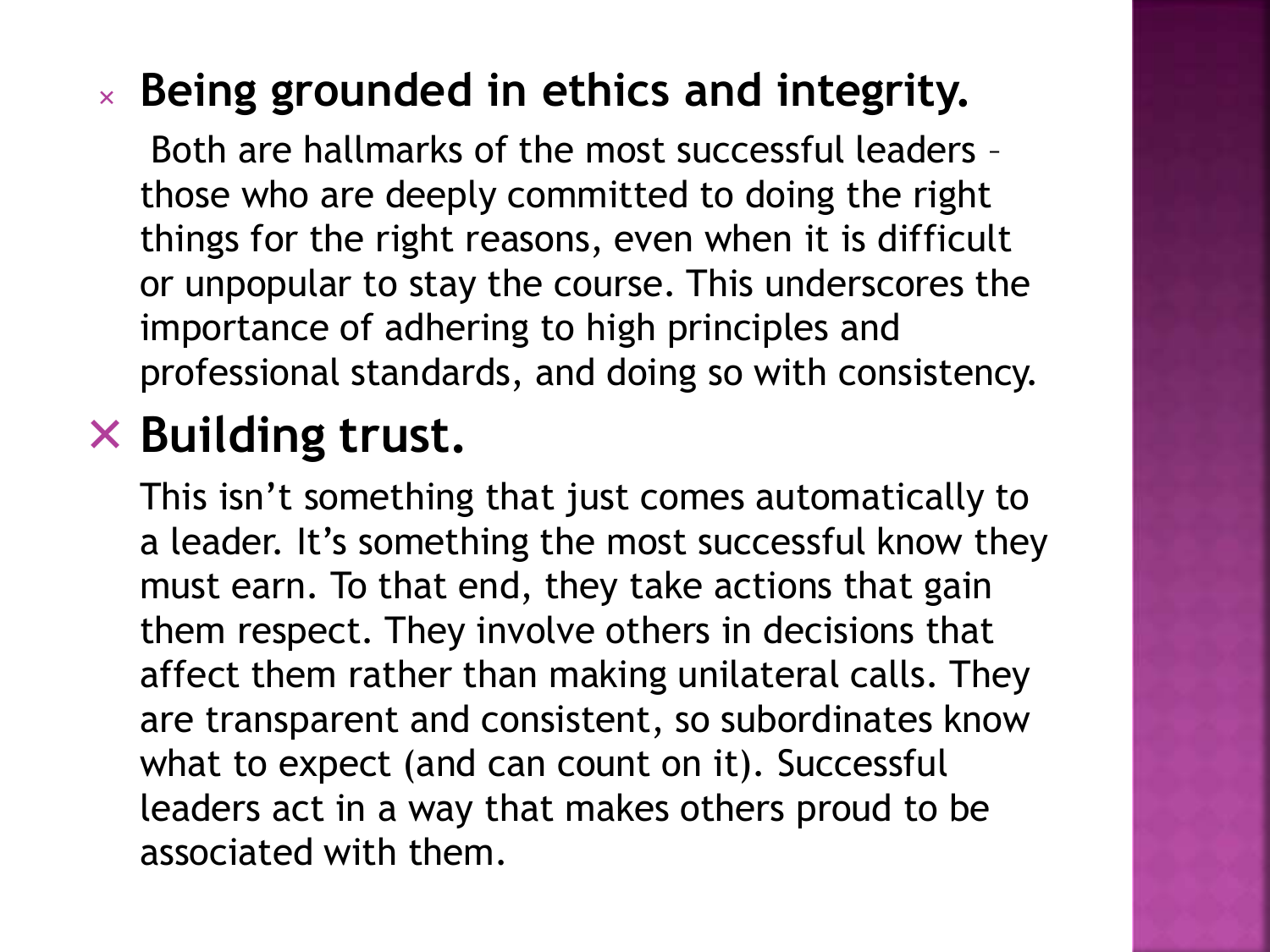### **Being grounded in ethics and integrity.**

Both are hallmarks of the most successful leaders – those who are deeply committed to doing the right things for the right reasons, even when it is difficult or unpopular to stay the course. This underscores the importance of adhering to high principles and professional standards, and doing so with consistency.

### **Building trust.**

This isn't something that just comes automatically to a leader. It's something the most successful know they must earn. To that end, they take actions that gain them respect. They involve others in decisions that affect them rather than making unilateral calls. They are transparent and consistent, so subordinates know what to expect (and can count on it). Successful leaders act in a way that makes others proud to be associated with them.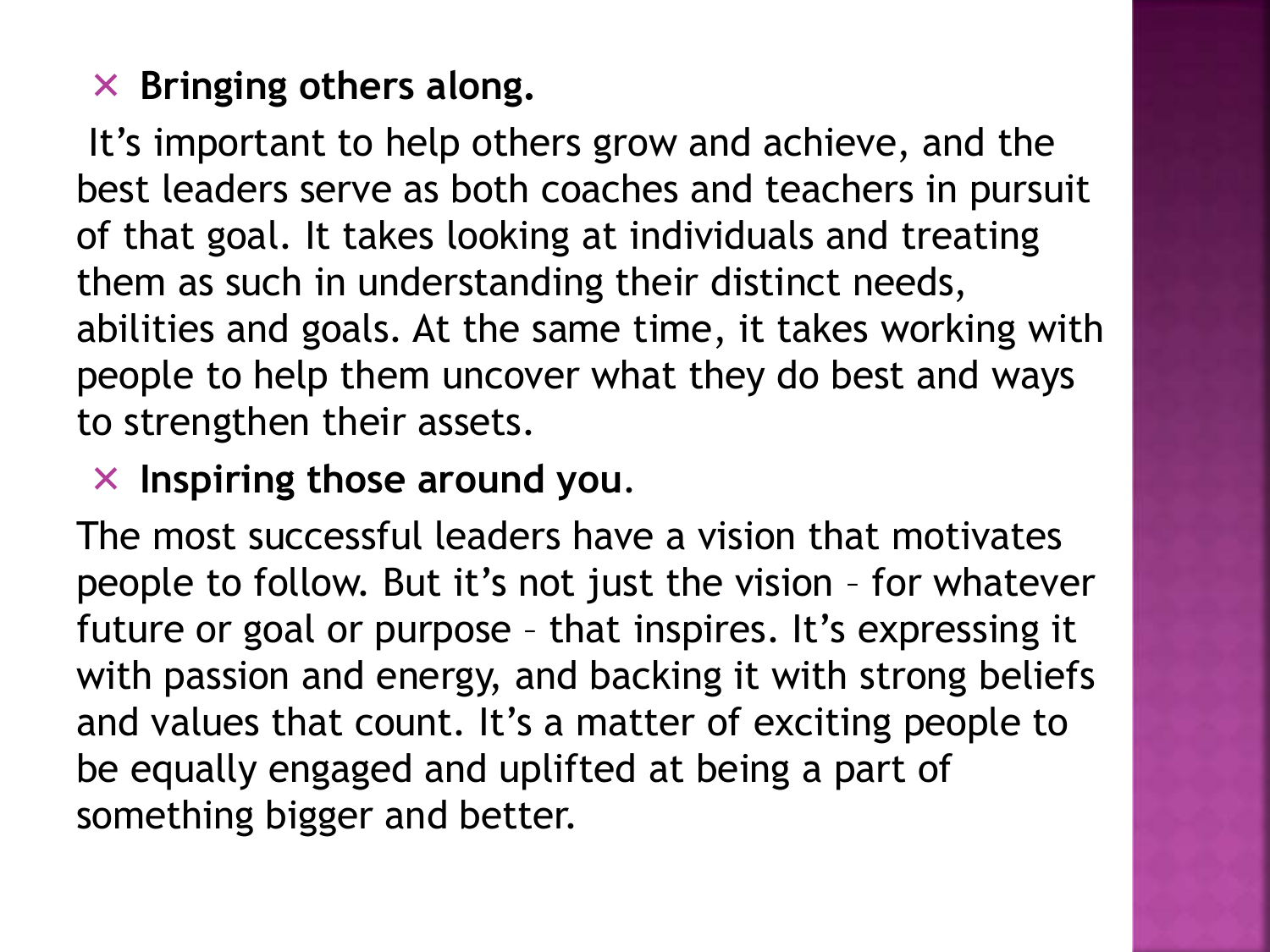### $\times$  Bringing others along.

It's important to help others grow and achieve, and the best leaders serve as both coaches and teachers in pursuit of that goal. It takes looking at individuals and treating them as such in understanding their distinct needs, abilities and goals. At the same time, it takes working with people to help them uncover what they do best and ways to strengthen their assets.

### **Inspiring those around you**.

The most successful leaders have a vision that motivates people to follow. But it's not just the vision – for whatever future or goal or purpose – that inspires. It's expressing it with passion and energy, and backing it with strong beliefs and values that count. It's a matter of exciting people to be equally engaged and uplifted at being a part of something bigger and better.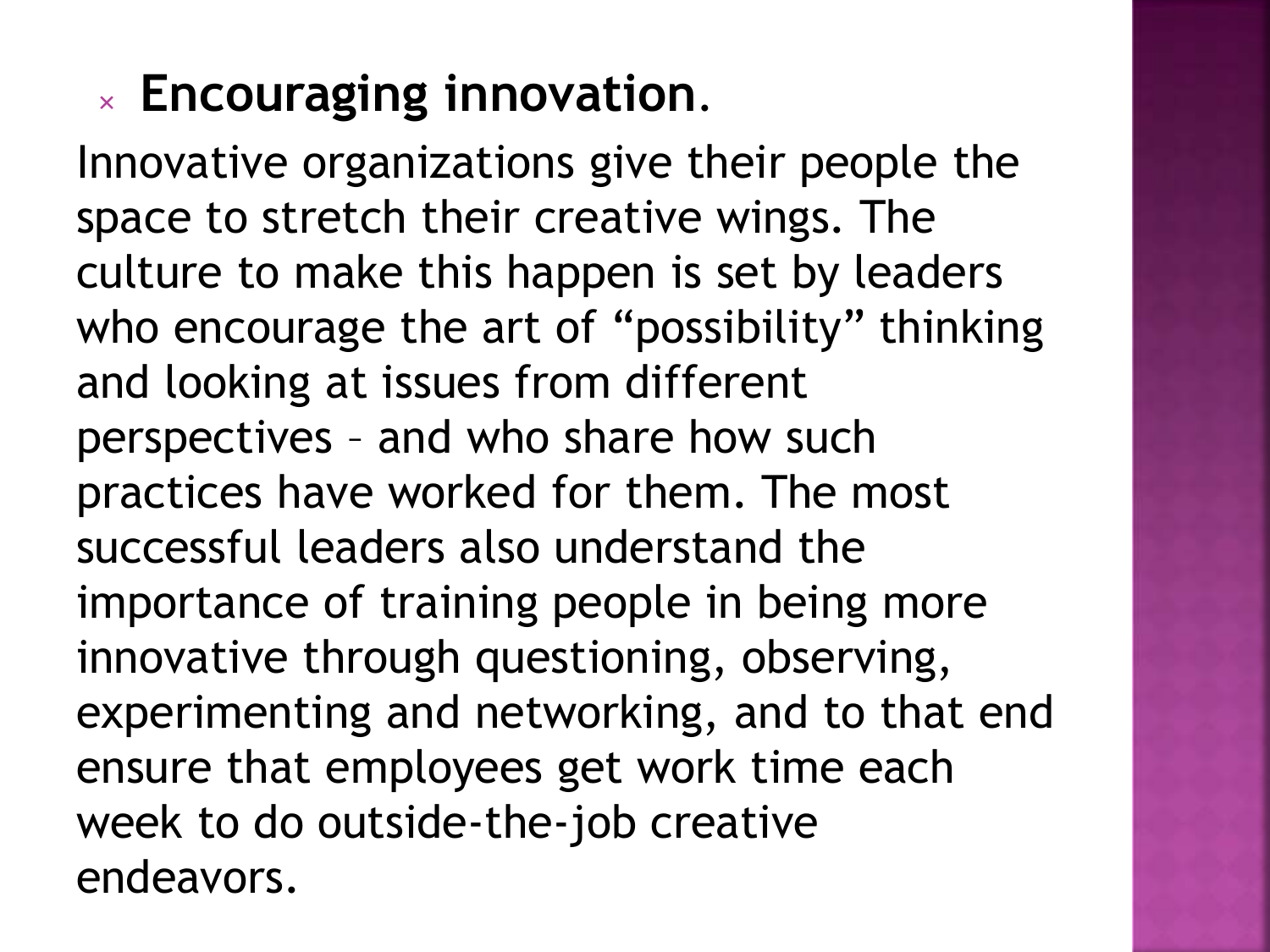## **Encouraging innovation**.

Innovative organizations give their people the space to stretch their creative wings. The culture to make this happen is set by leaders who encourage the art of "possibility" thinking and looking at issues from different perspectives – and who share how such practices have worked for them. The most successful leaders also understand the importance of training people in being more innovative through questioning, observing, experimenting and networking, and to that end ensure that employees get work time each week to do outside-the-job creative endeavors.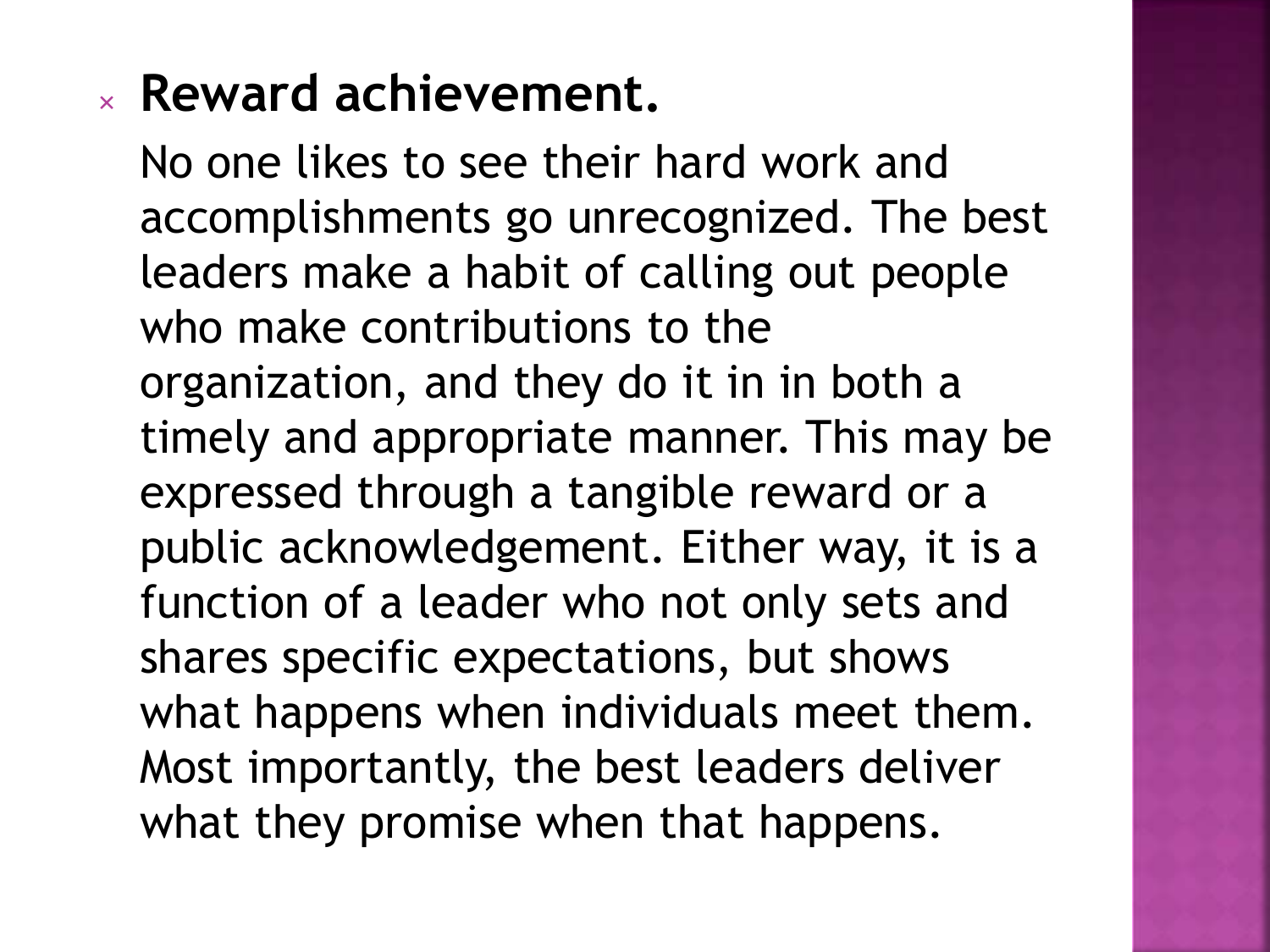### **Reward achievement.**

No one likes to see their hard work and accomplishments go unrecognized. The best leaders make a habit of calling out people who make contributions to the organization, and they do it in in both a timely and appropriate manner. This may be expressed through a tangible reward or a public acknowledgement. Either way, it is a function of a leader who not only sets and shares specific expectations, but shows what happens when individuals meet them. Most importantly, the best leaders deliver what they promise when that happens.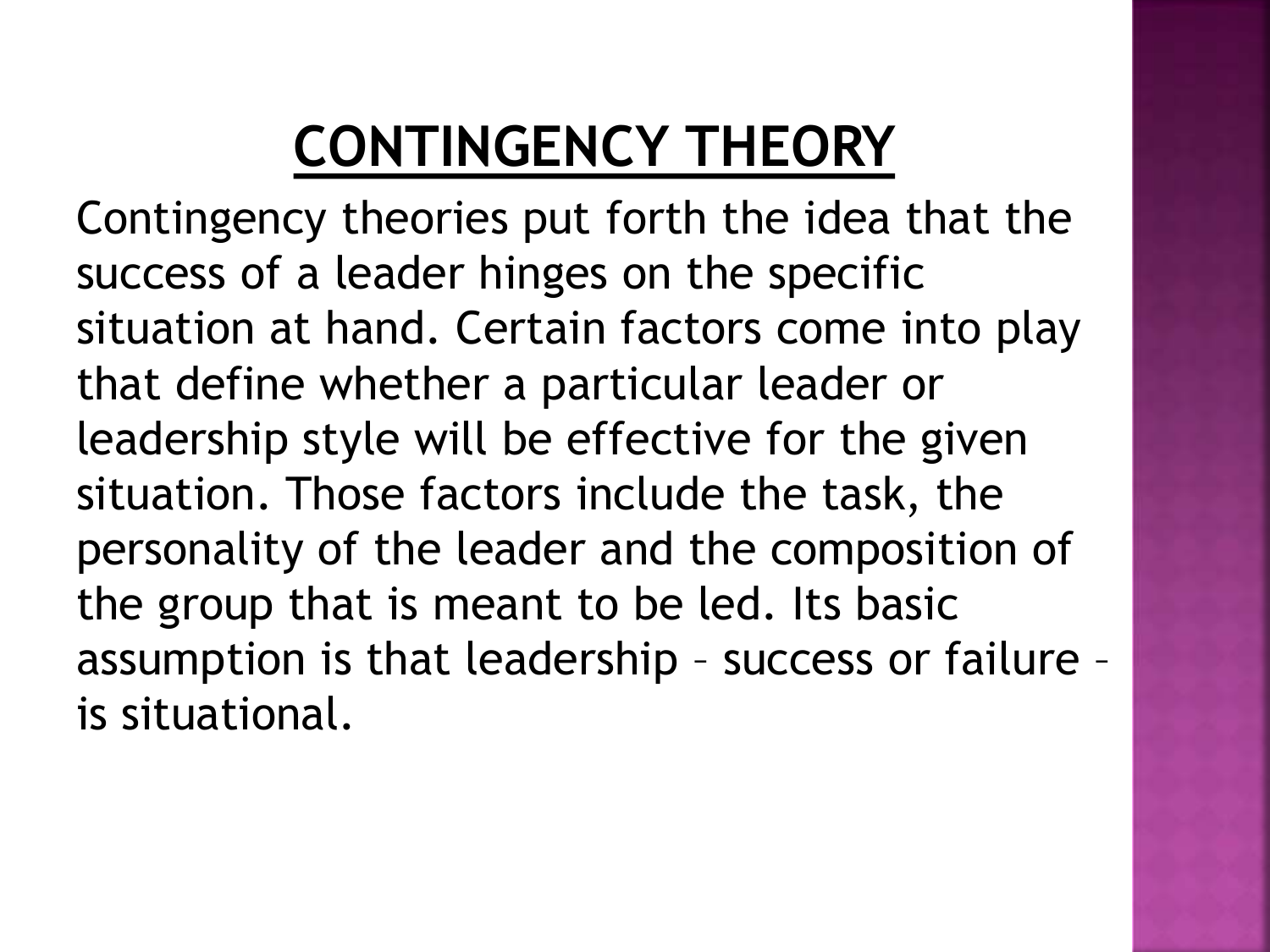## **CONTINGENCY THEORY**

Contingency theories put forth the idea that the success of a leader hinges on the specific situation at hand. Certain factors come into play that define whether a particular leader or leadership style will be effective for the given situation. Those factors include the task, the personality of the leader and the composition of the group that is meant to be led. Its basic assumption is that leadership – success or failure – is situational.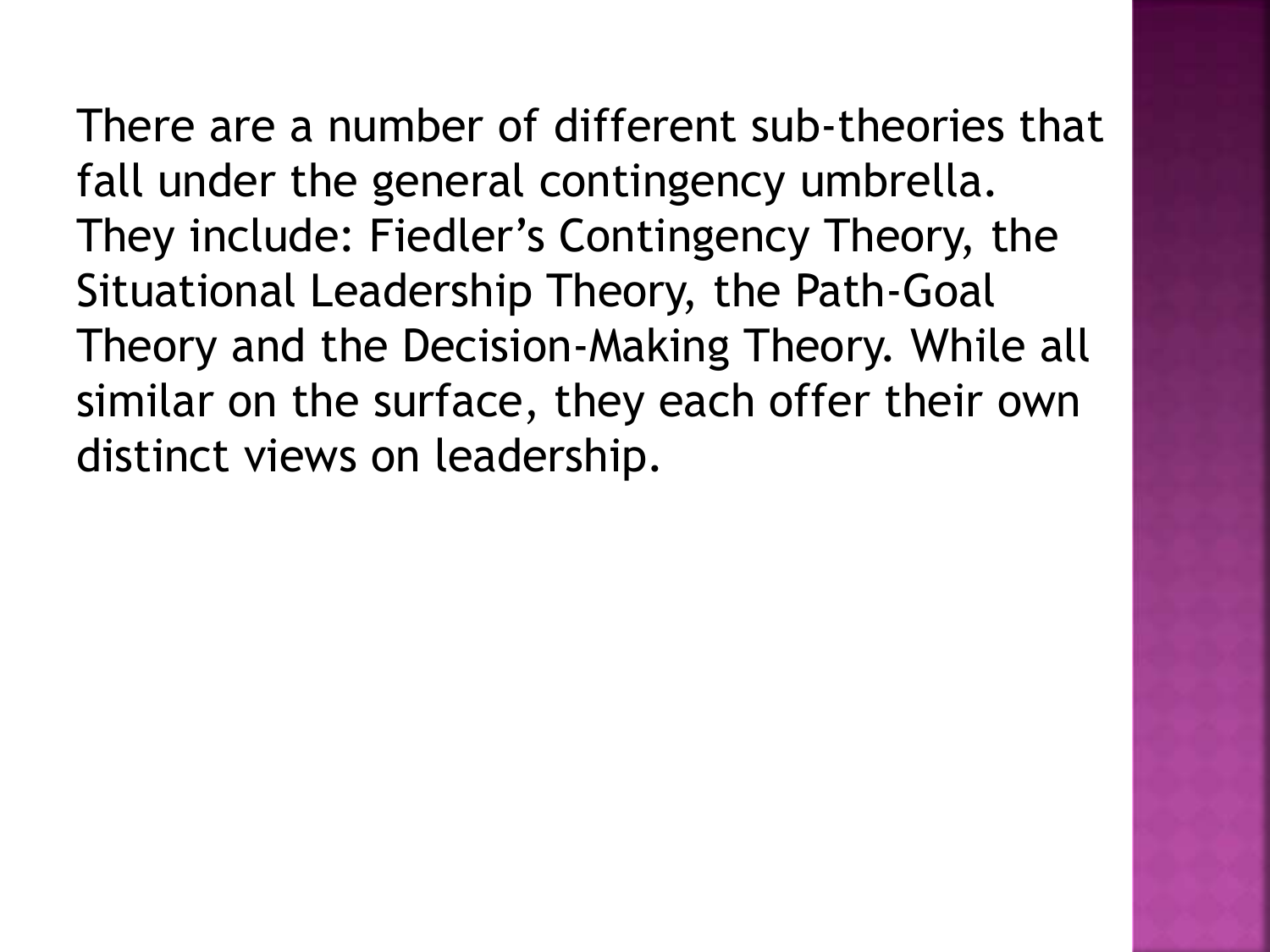There are a number of different sub-theories that fall under the general contingency umbrella. They include: Fiedler's Contingency Theory, the Situational Leadership Theory, the Path-Goal Theory and the Decision-Making Theory. While all similar on the surface, they each offer their own distinct views on leadership.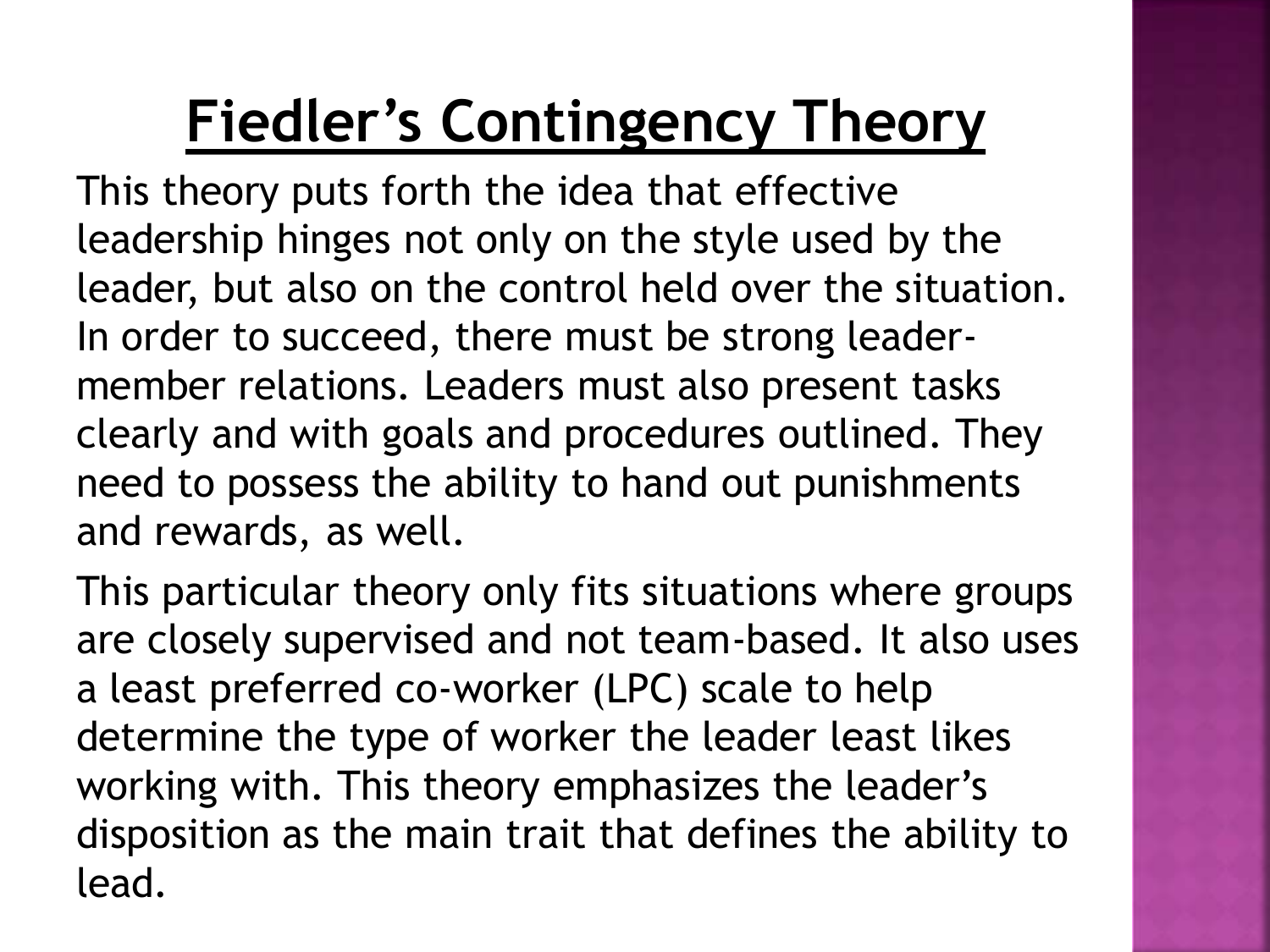## **Fiedler's Contingency Theory**

This theory puts forth the idea that effective leadership hinges not only on the style used by the leader, but also on the control held over the situation. In order to succeed, there must be strong leadermember relations. Leaders must also present tasks clearly and with goals and procedures outlined. They need to possess the ability to hand out punishments and rewards, as well.

This particular theory only fits situations where groups are closely supervised and not team-based. It also uses a least preferred co-worker (LPC) scale to help determine the type of worker the leader least likes working with. This theory emphasizes the leader's disposition as the main trait that defines the ability to lead.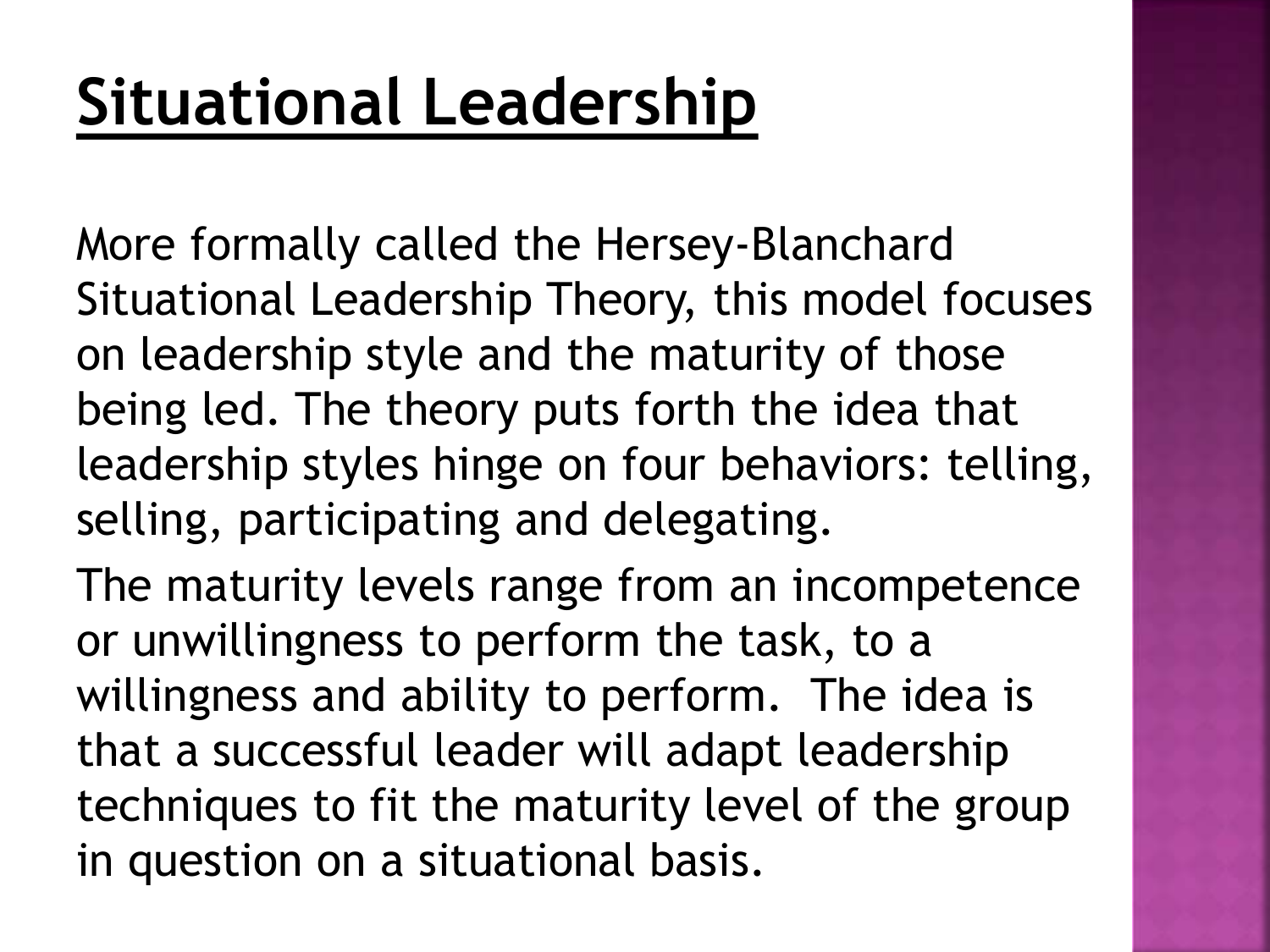More formally called the Hersey-Blanchard Situational Leadership Theory, this model focuses on leadership style and the maturity of those being led. The theory puts forth the idea that leadership styles hinge on four behaviors: telling, selling, participating and delegating.

The maturity levels range from an incompetence or unwillingness to perform the task, to a willingness and ability to perform. The idea is that a successful leader will adapt leadership techniques to fit the maturity level of the group in question on a situational basis.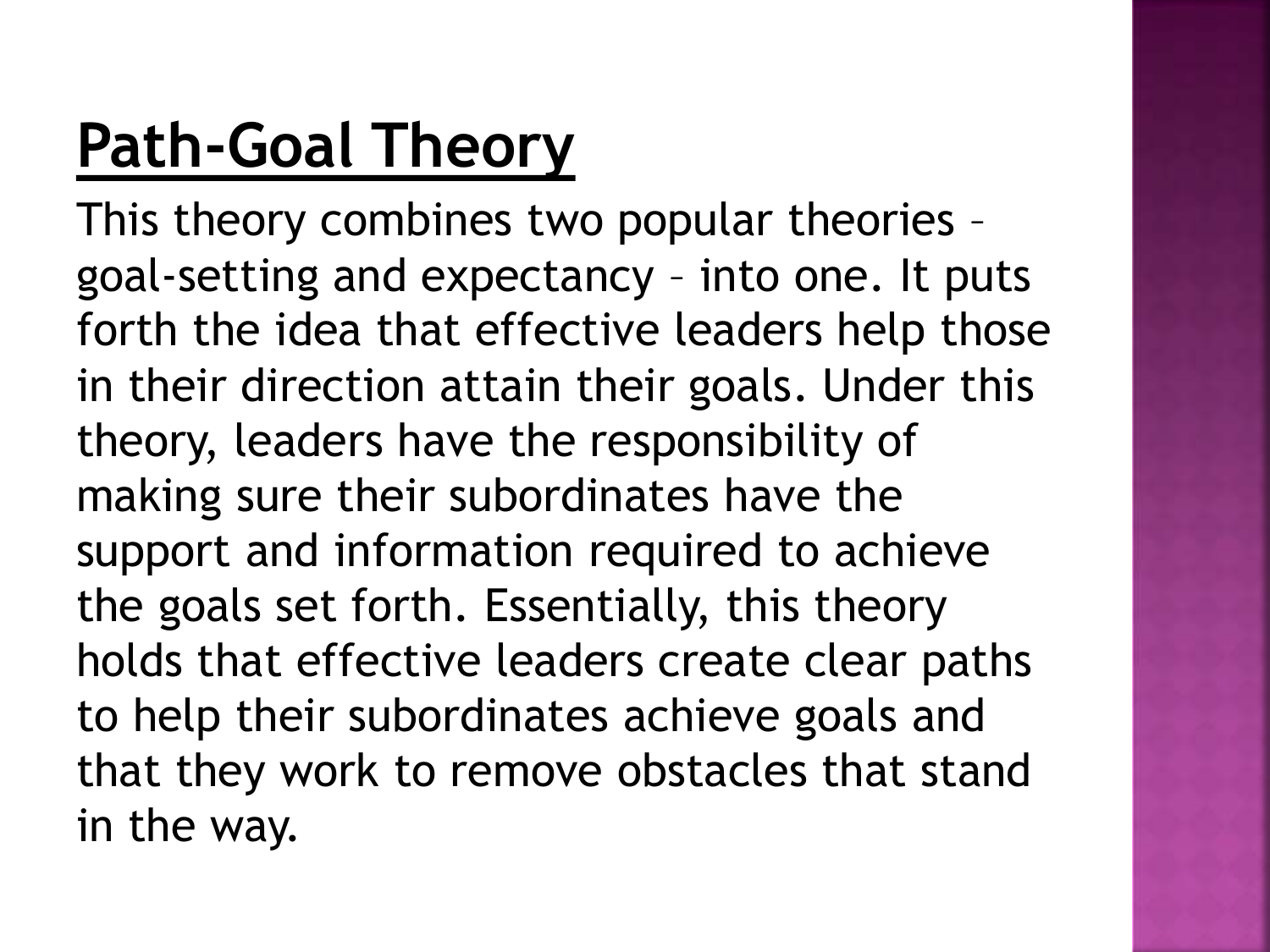## **Path-Goal Theory**

This theory combines two popular theories – goal-setting and expectancy – into one. It puts forth the idea that effective leaders help those in their direction attain their goals. Under this theory, leaders have the responsibility of making sure their subordinates have the support and information required to achieve the goals set forth. Essentially, this theory holds that effective leaders create clear paths to help their subordinates achieve goals and that they work to remove obstacles that stand in the way.